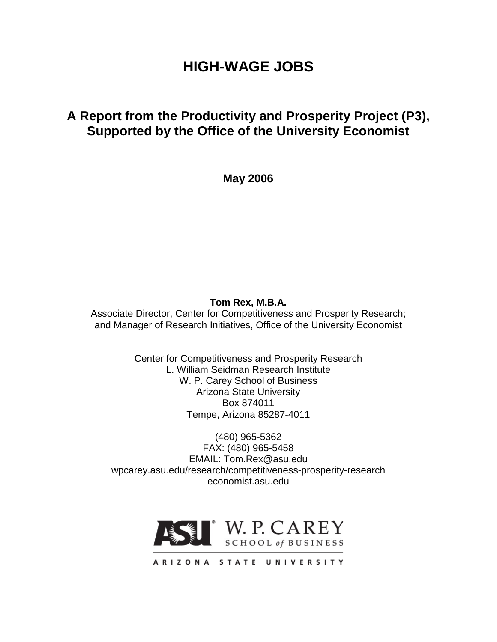# **HIGH-WAGE JOBS**

# **A Report from the Productivity and Prosperity Project (P3), Supported by the Office of the University Economist**

**May 2006**

# **Tom Rex, M.B.A.**

Associate Director, Center for Competitiveness and Prosperity Research; and Manager of Research Initiatives, Office of the University Economist

> Center for Competitiveness and Prosperity Research L. William Seidman Research Institute W. P. Carey School of Business Arizona State University Box 874011 Tempe, Arizona 85287-4011

(480) 965-5362 FAX: (480) 965-5458 EMAIL: Tom.Rex@asu.edu wpcarey.asu.edu/research/competitiveness-prosperity-research economist.asu.edu

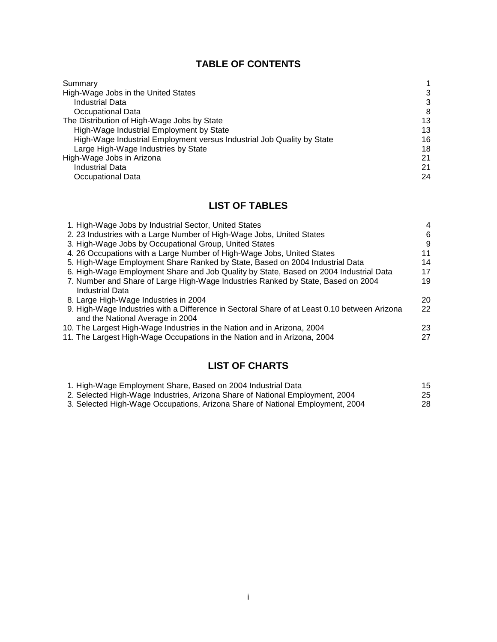# **TABLE OF CONTENTS**

| 3  |
|----|
| 3  |
| 8  |
| 13 |
| 13 |
| 16 |
| 18 |
| 21 |
| 21 |
| 24 |
|    |

# **LIST OF TABLES**

| 1. High-Wage Jobs by Industrial Sector, United States                                                                            | $\overline{4}$ |
|----------------------------------------------------------------------------------------------------------------------------------|----------------|
| 2. 23 Industries with a Large Number of High-Wage Jobs, United States                                                            | 6              |
| 3. High-Wage Jobs by Occupational Group, United States                                                                           | 9              |
| 4. 26 Occupations with a Large Number of High-Wage Jobs, United States                                                           | 11             |
| 5. High-Wage Employment Share Ranked by State, Based on 2004 Industrial Data                                                     | 14             |
| 6. High-Wage Employment Share and Job Quality by State, Based on 2004 Industrial Data                                            | 17             |
| 7. Number and Share of Large High-Wage Industries Ranked by State, Based on 2004<br><b>Industrial Data</b>                       | 19             |
| 8. Large High-Wage Industries in 2004                                                                                            | 20             |
| 9. High-Wage Industries with a Difference in Sectoral Share of at Least 0.10 between Arizona<br>and the National Average in 2004 | 22             |
| 10. The Largest High-Wage Industries in the Nation and in Arizona, 2004                                                          | 23             |
| 11. The Largest High-Wage Occupations in the Nation and in Arizona, 2004                                                         | 27             |

# **LIST OF CHARTS**

| 1. High-Wage Employment Share, Based on 2004 Industrial Data                  | 15 |
|-------------------------------------------------------------------------------|----|
| 2. Selected High-Wage Industries, Arizona Share of National Employment, 2004  | 25 |
| 3. Selected High-Wage Occupations, Arizona Share of National Employment, 2004 | 28 |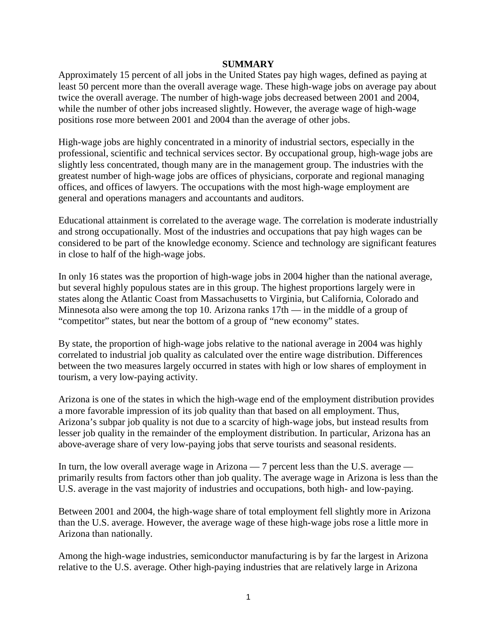#### **SUMMARY**

Approximately 15 percent of all jobs in the United States pay high wages, defined as paying at least 50 percent more than the overall average wage. These high-wage jobs on average pay about twice the overall average. The number of high-wage jobs decreased between 2001 and 2004, while the number of other jobs increased slightly. However, the average wage of high-wage positions rose more between 2001 and 2004 than the average of other jobs.

High-wage jobs are highly concentrated in a minority of industrial sectors, especially in the professional, scientific and technical services sector. By occupational group, high-wage jobs are slightly less concentrated, though many are in the management group. The industries with the greatest number of high-wage jobs are offices of physicians, corporate and regional managing offices, and offices of lawyers. The occupations with the most high-wage employment are general and operations managers and accountants and auditors.

Educational attainment is correlated to the average wage. The correlation is moderate industrially and strong occupationally. Most of the industries and occupations that pay high wages can be considered to be part of the knowledge economy. Science and technology are significant features in close to half of the high-wage jobs.

In only 16 states was the proportion of high-wage jobs in 2004 higher than the national average, but several highly populous states are in this group. The highest proportions largely were in states along the Atlantic Coast from Massachusetts to Virginia, but California, Colorado and Minnesota also were among the top 10. Arizona ranks 17th — in the middle of a group of "competitor" states, but near the bottom of a group of "new economy" states.

By state, the proportion of high-wage jobs relative to the national average in 2004 was highly correlated to industrial job quality as calculated over the entire wage distribution. Differences between the two measures largely occurred in states with high or low shares of employment in tourism, a very low-paying activity.

Arizona is one of the states in which the high-wage end of the employment distribution provides a more favorable impression of its job quality than that based on all employment. Thus, Arizona's subpar job quality is not due to a scarcity of high-wage jobs, but instead results from lesser job quality in the remainder of the employment distribution. In particular, Arizona has an above-average share of very low-paying jobs that serve tourists and seasonal residents.

In turn, the low overall average wage in Arizona — 7 percent less than the U.S. average primarily results from factors other than job quality. The average wage in Arizona is less than the U.S. average in the vast majority of industries and occupations, both high- and low-paying.

Between 2001 and 2004, the high-wage share of total employment fell slightly more in Arizona than the U.S. average. However, the average wage of these high-wage jobs rose a little more in Arizona than nationally.

Among the high-wage industries, semiconductor manufacturing is by far the largest in Arizona relative to the U.S. average. Other high-paying industries that are relatively large in Arizona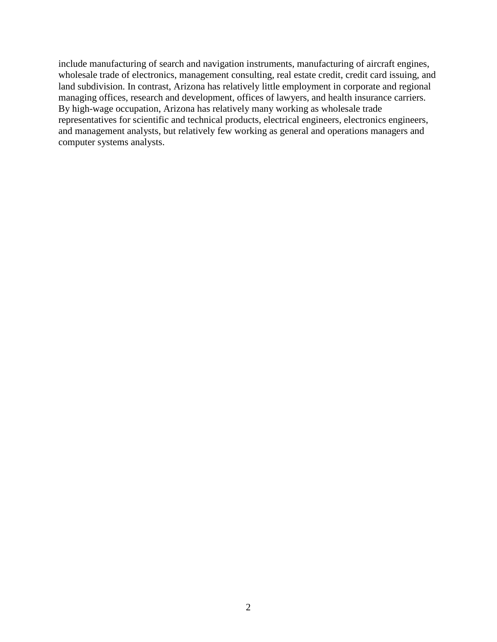include manufacturing of search and navigation instruments, manufacturing of aircraft engines, wholesale trade of electronics, management consulting, real estate credit, credit card issuing, and land subdivision. In contrast, Arizona has relatively little employment in corporate and regional managing offices, research and development, offices of lawyers, and health insurance carriers. By high-wage occupation, Arizona has relatively many working as wholesale trade representatives for scientific and technical products, electrical engineers, electronics engineers, and management analysts, but relatively few working as general and operations managers and computer systems analysts.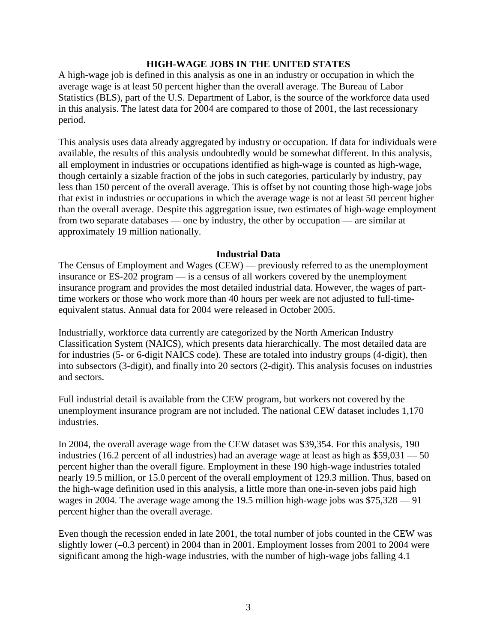#### **HIGH-WAGE JOBS IN THE UNITED STATES**

A high-wage job is defined in this analysis as one in an industry or occupation in which the average wage is at least 50 percent higher than the overall average. The Bureau of Labor Statistics (BLS), part of the U.S. Department of Labor, is the source of the workforce data used in this analysis. The latest data for 2004 are compared to those of 2001, the last recessionary period.

This analysis uses data already aggregated by industry or occupation. If data for individuals were available, the results of this analysis undoubtedly would be somewhat different. In this analysis, all employment in industries or occupations identified as high-wage is counted as high-wage, though certainly a sizable fraction of the jobs in such categories, particularly by industry, pay less than 150 percent of the overall average. This is offset by not counting those high-wage jobs that exist in industries or occupations in which the average wage is not at least 50 percent higher than the overall average. Despite this aggregation issue, two estimates of high-wage employment from two separate databases — one by industry, the other by occupation — are similar at approximately 19 million nationally.

#### **Industrial Data**

The Census of Employment and Wages (CEW) — previously referred to as the unemployment insurance or ES-202 program — is a census of all workers covered by the unemployment insurance program and provides the most detailed industrial data. However, the wages of parttime workers or those who work more than 40 hours per week are not adjusted to full-timeequivalent status. Annual data for 2004 were released in October 2005.

Industrially, workforce data currently are categorized by the North American Industry Classification System (NAICS), which presents data hierarchically. The most detailed data are for industries (5- or 6-digit NAICS code). These are totaled into industry groups (4-digit), then into subsectors (3-digit), and finally into 20 sectors (2-digit). This analysis focuses on industries and sectors.

Full industrial detail is available from the CEW program, but workers not covered by the unemployment insurance program are not included. The national CEW dataset includes 1,170 industries.

In 2004, the overall average wage from the CEW dataset was \$39,354. For this analysis, 190 industries (16.2 percent of all industries) had an average wage at least as high as \$59,031 — 50 percent higher than the overall figure. Employment in these 190 high-wage industries totaled nearly 19.5 million, or 15.0 percent of the overall employment of 129.3 million. Thus, based on the high-wage definition used in this analysis, a little more than one-in-seven jobs paid high wages in 2004. The average wage among the 19.5 million high-wage jobs was \$75,328 — 91 percent higher than the overall average.

Even though the recession ended in late 2001, the total number of jobs counted in the CEW was slightly lower (–0.3 percent) in 2004 than in 2001. Employment losses from 2001 to 2004 were significant among the high-wage industries, with the number of high-wage jobs falling 4.1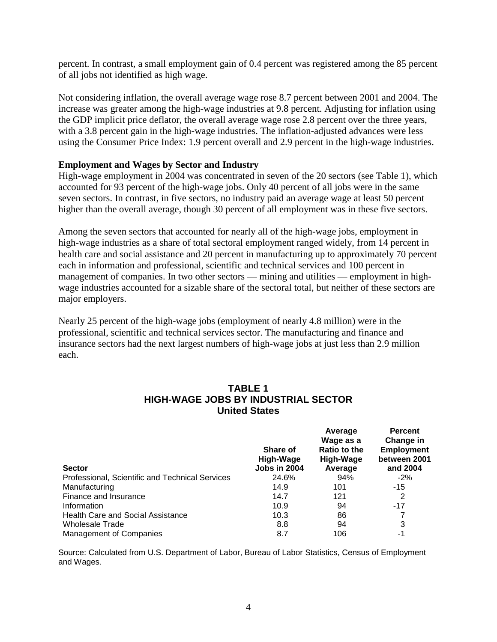percent. In contrast, a small employment gain of 0.4 percent was registered among the 85 percent of all jobs not identified as high wage.

Not considering inflation, the overall average wage rose 8.7 percent between 2001 and 2004. The increase was greater among the high-wage industries at 9.8 percent. Adjusting for inflation using the GDP implicit price deflator, the overall average wage rose 2.8 percent over the three years, with a 3.8 percent gain in the high-wage industries. The inflation-adjusted advances were less using the Consumer Price Index: 1.9 percent overall and 2.9 percent in the high-wage industries.

#### **Employment and Wages by Sector and Industry**

High-wage employment in 2004 was concentrated in seven of the 20 sectors (see Table 1), which accounted for 93 percent of the high-wage jobs. Only 40 percent of all jobs were in the same seven sectors. In contrast, in five sectors, no industry paid an average wage at least 50 percent higher than the overall average, though 30 percent of all employment was in these five sectors.

Among the seven sectors that accounted for nearly all of the high-wage jobs, employment in high-wage industries as a share of total sectoral employment ranged widely, from 14 percent in health care and social assistance and 20 percent in manufacturing up to approximately 70 percent each in information and professional, scientific and technical services and 100 percent in management of companies. In two other sectors — mining and utilities — employment in highwage industries accounted for a sizable share of the sectoral total, but neither of these sectors are major employers.

Nearly 25 percent of the high-wage jobs (employment of nearly 4.8 million) were in the professional, scientific and technical services sector. The manufacturing and finance and insurance sectors had the next largest numbers of high-wage jobs at just less than 2.9 million each.

# **TABLE 1 HIGH-WAGE JOBS BY INDUSTRIAL SECTOR United States**

| <b>Sector</b>                                   | Share of<br>High-Wage<br><b>Jobs in 2004</b> | Average<br>Wage as a<br>Ratio to the<br>High-Wage<br>Average | <b>Percent</b><br>Change in<br><b>Employment</b><br>between 2001<br>and 2004 |
|-------------------------------------------------|----------------------------------------------|--------------------------------------------------------------|------------------------------------------------------------------------------|
| Professional, Scientific and Technical Services | 24.6%                                        | 94%                                                          | $-2%$                                                                        |
| Manufacturing                                   | 14.9                                         | 101                                                          | $-15$                                                                        |
| Finance and Insurance                           | 14.7                                         | 121                                                          | 2                                                                            |
| Information                                     | 10.9                                         | 94                                                           | $-17$                                                                        |
| <b>Health Care and Social Assistance</b>        | 10.3                                         | 86                                                           |                                                                              |
| <b>Wholesale Trade</b>                          | 8.8                                          | 94                                                           | 3                                                                            |
| <b>Management of Companies</b>                  | 8.7                                          | 106                                                          | -1                                                                           |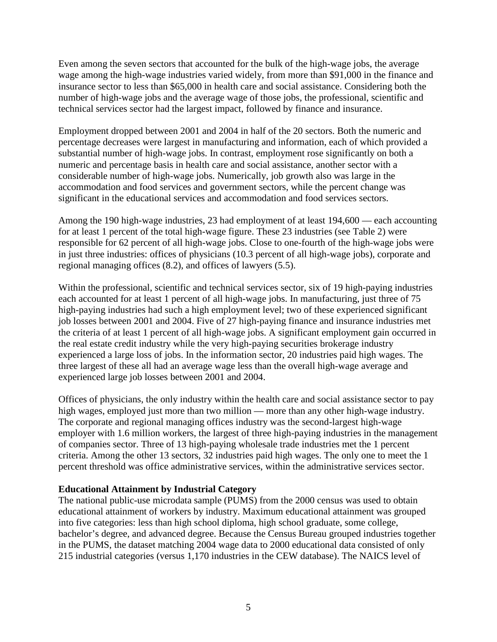Even among the seven sectors that accounted for the bulk of the high-wage jobs, the average wage among the high-wage industries varied widely, from more than \$91,000 in the finance and insurance sector to less than \$65,000 in health care and social assistance. Considering both the number of high-wage jobs and the average wage of those jobs, the professional, scientific and technical services sector had the largest impact, followed by finance and insurance.

Employment dropped between 2001 and 2004 in half of the 20 sectors. Both the numeric and percentage decreases were largest in manufacturing and information, each of which provided a substantial number of high-wage jobs. In contrast, employment rose significantly on both a numeric and percentage basis in health care and social assistance, another sector with a considerable number of high-wage jobs. Numerically, job growth also was large in the accommodation and food services and government sectors, while the percent change was significant in the educational services and accommodation and food services sectors.

Among the 190 high-wage industries, 23 had employment of at least 194,600 — each accounting for at least 1 percent of the total high-wage figure. These 23 industries (see Table 2) were responsible for 62 percent of all high-wage jobs. Close to one-fourth of the high-wage jobs were in just three industries: offices of physicians (10.3 percent of all high-wage jobs), corporate and regional managing offices (8.2), and offices of lawyers (5.5).

Within the professional, scientific and technical services sector, six of 19 high-paying industries each accounted for at least 1 percent of all high-wage jobs. In manufacturing, just three of 75 high-paying industries had such a high employment level; two of these experienced significant job losses between 2001 and 2004. Five of 27 high-paying finance and insurance industries met the criteria of at least 1 percent of all high-wage jobs. A significant employment gain occurred in the real estate credit industry while the very high-paying securities brokerage industry experienced a large loss of jobs. In the information sector, 20 industries paid high wages. The three largest of these all had an average wage less than the overall high-wage average and experienced large job losses between 2001 and 2004.

Offices of physicians, the only industry within the health care and social assistance sector to pay high wages, employed just more than two million — more than any other high-wage industry. The corporate and regional managing offices industry was the second-largest high-wage employer with 1.6 million workers, the largest of three high-paying industries in the management of companies sector. Three of 13 high-paying wholesale trade industries met the 1 percent criteria. Among the other 13 sectors, 32 industries paid high wages. The only one to meet the 1 percent threshold was office administrative services, within the administrative services sector.

# **Educational Attainment by Industrial Category**

The national public-use microdata sample (PUMS) from the 2000 census was used to obtain educational attainment of workers by industry. Maximum educational attainment was grouped into five categories: less than high school diploma, high school graduate, some college, bachelor's degree, and advanced degree. Because the Census Bureau grouped industries together in the PUMS, the dataset matching 2004 wage data to 2000 educational data consisted of only 215 industrial categories (versus 1,170 industries in the CEW database). The NAICS level of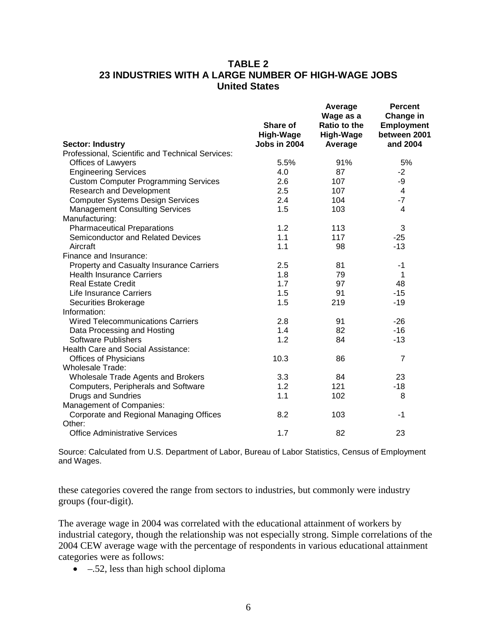# **TABLE 2 23 INDUSTRIES WITH A LARGE NUMBER OF HIGH-WAGE JOBS United States**

|                                                  | Share of<br>High-Wage<br>Jobs in 2004 | Average<br>Wage as a<br>Ratio to the<br><b>High-Wage</b> | <b>Percent</b><br>Change in<br><b>Employment</b><br>between 2001<br>and 2004 |
|--------------------------------------------------|---------------------------------------|----------------------------------------------------------|------------------------------------------------------------------------------|
| <b>Sector: Industry</b>                          |                                       | Average                                                  |                                                                              |
| Professional, Scientific and Technical Services: |                                       |                                                          |                                                                              |
| Offices of Lawyers                               | 5.5%                                  | 91%                                                      | 5%                                                                           |
| <b>Engineering Services</b>                      | 4.0                                   | 87                                                       | $-2$                                                                         |
| <b>Custom Computer Programming Services</b>      | 2.6                                   | 107                                                      | -9                                                                           |
| <b>Research and Development</b>                  | 2.5                                   | 107                                                      | 4                                                                            |
| <b>Computer Systems Design Services</b>          | 2.4                                   | 104                                                      | $-7$                                                                         |
| <b>Management Consulting Services</b>            | 1.5                                   | 103                                                      | $\overline{4}$                                                               |
| Manufacturing:                                   |                                       |                                                          |                                                                              |
| <b>Pharmaceutical Preparations</b>               | 1.2                                   | 113                                                      | 3                                                                            |
| Semiconductor and Related Devices                | 1.1                                   | 117                                                      | $-25$                                                                        |
| Aircraft                                         | 1.1                                   | 98                                                       | $-13$                                                                        |
| Finance and Insurance:                           |                                       |                                                          |                                                                              |
| Property and Casualty Insurance Carriers         | 2.5                                   | 81                                                       | $-1$                                                                         |
| <b>Health Insurance Carriers</b>                 | 1.8                                   | 79                                                       | 1                                                                            |
| <b>Real Estate Credit</b>                        | 1.7                                   | 97                                                       | 48                                                                           |
| <b>Life Insurance Carriers</b>                   | 1.5                                   | 91                                                       | $-15$                                                                        |
| Securities Brokerage                             | 1.5                                   | 219                                                      | $-19$                                                                        |
| Information:                                     |                                       |                                                          |                                                                              |
| <b>Wired Telecommunications Carriers</b>         | 2.8                                   | 91                                                       | $-26$                                                                        |
| Data Processing and Hosting                      | 1.4                                   | 82                                                       | $-16$                                                                        |
| <b>Software Publishers</b>                       | 1.2                                   | 84                                                       | $-13$                                                                        |
| Health Care and Social Assistance:               |                                       |                                                          |                                                                              |
| <b>Offices of Physicians</b>                     | 10.3                                  | 86                                                       | $\overline{7}$                                                               |
| Wholesale Trade:                                 |                                       |                                                          |                                                                              |
| Wholesale Trade Agents and Brokers               | 3.3                                   | 84                                                       | 23                                                                           |
| Computers, Peripherals and Software              | 1.2                                   | 121                                                      | $-18$                                                                        |
| <b>Drugs and Sundries</b>                        | 1.1                                   | 102                                                      | 8                                                                            |
| Management of Companies:                         |                                       |                                                          |                                                                              |
| Corporate and Regional Managing Offices          | 8.2                                   | 103                                                      | $-1$                                                                         |
| Other:                                           |                                       |                                                          |                                                                              |
| <b>Office Administrative Services</b>            | 1.7                                   | 82                                                       | 23                                                                           |

Source: Calculated from U.S. Department of Labor, Bureau of Labor Statistics, Census of Employment and Wages.

these categories covered the range from sectors to industries, but commonly were industry groups (four-digit).

The average wage in 2004 was correlated with the educational attainment of workers by industrial category, though the relationship was not especially strong. Simple correlations of the 2004 CEW average wage with the percentage of respondents in various educational attainment categories were as follows:

• –.52, less than high school diploma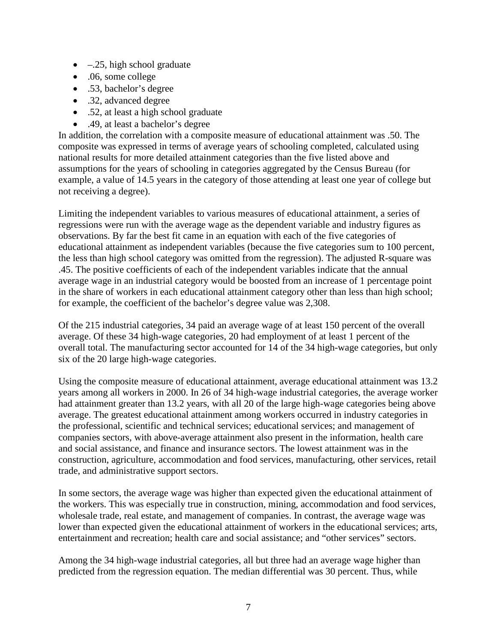- $\bullet$  –.25, high school graduate
- .06, some college
- .53, bachelor's degree
- .32, advanced degree
- .52, at least a high school graduate
- .49, at least a bachelor's degree

In addition, the correlation with a composite measure of educational attainment was .50. The composite was expressed in terms of average years of schooling completed, calculated using national results for more detailed attainment categories than the five listed above and assumptions for the years of schooling in categories aggregated by the Census Bureau (for example, a value of 14.5 years in the category of those attending at least one year of college but not receiving a degree).

Limiting the independent variables to various measures of educational attainment, a series of regressions were run with the average wage as the dependent variable and industry figures as observations. By far the best fit came in an equation with each of the five categories of educational attainment as independent variables (because the five categories sum to 100 percent, the less than high school category was omitted from the regression). The adjusted R-square was .45. The positive coefficients of each of the independent variables indicate that the annual average wage in an industrial category would be boosted from an increase of 1 percentage point in the share of workers in each educational attainment category other than less than high school; for example, the coefficient of the bachelor's degree value was 2,308.

Of the 215 industrial categories, 34 paid an average wage of at least 150 percent of the overall average. Of these 34 high-wage categories, 20 had employment of at least 1 percent of the overall total. The manufacturing sector accounted for 14 of the 34 high-wage categories, but only six of the 20 large high-wage categories.

Using the composite measure of educational attainment, average educational attainment was 13.2 years among all workers in 2000. In 26 of 34 high-wage industrial categories, the average worker had attainment greater than 13.2 years, with all 20 of the large high-wage categories being above average. The greatest educational attainment among workers occurred in industry categories in the professional, scientific and technical services; educational services; and management of companies sectors, with above-average attainment also present in the information, health care and social assistance, and finance and insurance sectors. The lowest attainment was in the construction, agriculture, accommodation and food services, manufacturing, other services, retail trade, and administrative support sectors.

In some sectors, the average wage was higher than expected given the educational attainment of the workers. This was especially true in construction, mining, accommodation and food services, wholesale trade, real estate, and management of companies. In contrast, the average wage was lower than expected given the educational attainment of workers in the educational services; arts, entertainment and recreation; health care and social assistance; and "other services" sectors.

Among the 34 high-wage industrial categories, all but three had an average wage higher than predicted from the regression equation. The median differential was 30 percent. Thus, while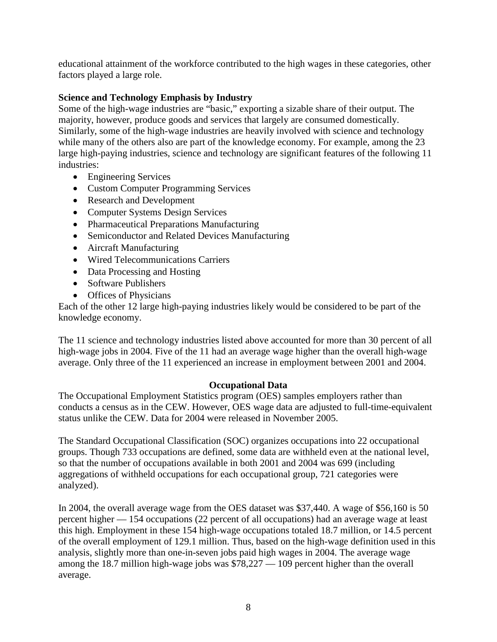educational attainment of the workforce contributed to the high wages in these categories, other factors played a large role.

# **Science and Technology Emphasis by Industry**

Some of the high-wage industries are "basic," exporting a sizable share of their output. The majority, however, produce goods and services that largely are consumed domestically. Similarly, some of the high-wage industries are heavily involved with science and technology while many of the others also are part of the knowledge economy. For example, among the 23 large high-paying industries, science and technology are significant features of the following 11 industries:

- Engineering Services
- Custom Computer Programming Services
- Research and Development
- Computer Systems Design Services
- Pharmaceutical Preparations Manufacturing
- Semiconductor and Related Devices Manufacturing
- Aircraft Manufacturing
- Wired Telecommunications Carriers
- Data Processing and Hosting
- Software Publishers
- Offices of Physicians

Each of the other 12 large high-paying industries likely would be considered to be part of the knowledge economy.

The 11 science and technology industries listed above accounted for more than 30 percent of all high-wage jobs in 2004. Five of the 11 had an average wage higher than the overall high-wage average. Only three of the 11 experienced an increase in employment between 2001 and 2004.

# **Occupational Data**

The Occupational Employment Statistics program (OES) samples employers rather than conducts a census as in the CEW. However, OES wage data are adjusted to full-time-equivalent status unlike the CEW. Data for 2004 were released in November 2005.

The Standard Occupational Classification (SOC) organizes occupations into 22 occupational groups. Though 733 occupations are defined, some data are withheld even at the national level, so that the number of occupations available in both 2001 and 2004 was 699 (including aggregations of withheld occupations for each occupational group, 721 categories were analyzed).

In 2004, the overall average wage from the OES dataset was \$37,440. A wage of \$56,160 is 50 percent higher — 154 occupations (22 percent of all occupations) had an average wage at least this high. Employment in these 154 high-wage occupations totaled 18.7 million, or 14.5 percent of the overall employment of 129.1 million. Thus, based on the high-wage definition used in this analysis, slightly more than one-in-seven jobs paid high wages in 2004. The average wage among the 18.7 million high-wage jobs was \$78,227 — 109 percent higher than the overall average.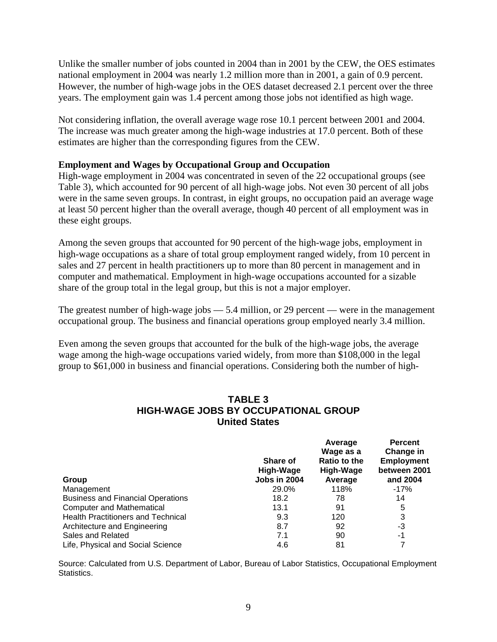Unlike the smaller number of jobs counted in 2004 than in 2001 by the CEW, the OES estimates national employment in 2004 was nearly 1.2 million more than in 2001, a gain of 0.9 percent. However, the number of high-wage jobs in the OES dataset decreased 2.1 percent over the three years. The employment gain was 1.4 percent among those jobs not identified as high wage.

Not considering inflation, the overall average wage rose 10.1 percent between 2001 and 2004. The increase was much greater among the high-wage industries at 17.0 percent. Both of these estimates are higher than the corresponding figures from the CEW.

### **Employment and Wages by Occupational Group and Occupation**

High-wage employment in 2004 was concentrated in seven of the 22 occupational groups (see Table 3), which accounted for 90 percent of all high-wage jobs. Not even 30 percent of all jobs were in the same seven groups. In contrast, in eight groups, no occupation paid an average wage at least 50 percent higher than the overall average, though 40 percent of all employment was in these eight groups.

Among the seven groups that accounted for 90 percent of the high-wage jobs, employment in high-wage occupations as a share of total group employment ranged widely, from 10 percent in sales and 27 percent in health practitioners up to more than 80 percent in management and in computer and mathematical. Employment in high-wage occupations accounted for a sizable share of the group total in the legal group, but this is not a major employer.

The greatest number of high-wage jobs — 5.4 million, or 29 percent — were in the management occupational group. The business and financial operations group employed nearly 3.4 million.

Even among the seven groups that accounted for the bulk of the high-wage jobs, the average wage among the high-wage occupations varied widely, from more than \$108,000 in the legal group to \$61,000 in business and financial operations. Considering both the number of high-

# **TABLE 3 HIGH-WAGE JOBS BY OCCUPATIONAL GROUP United States**

| Group                                     | <b>Share of</b><br>High-Wage<br><b>Jobs in 2004</b> | Average<br>Wage as a<br><b>Ratio to the</b><br>High-Wage<br>Average | <b>Percent</b><br>Change in<br><b>Employment</b><br>between 2001<br>and 2004 |
|-------------------------------------------|-----------------------------------------------------|---------------------------------------------------------------------|------------------------------------------------------------------------------|
| Management                                | 29.0%                                               | 118%                                                                | -17%                                                                         |
| <b>Business and Financial Operations</b>  | 18.2                                                | 78                                                                  | 14                                                                           |
| <b>Computer and Mathematical</b>          | 13.1                                                | 91                                                                  | 5                                                                            |
| <b>Health Practitioners and Technical</b> | 9.3                                                 | 120                                                                 | 3                                                                            |
| Architecture and Engineering              | 8.7                                                 | 92                                                                  | -3                                                                           |
| Sales and Related                         | 7.1                                                 | 90                                                                  | -1                                                                           |
| Life, Physical and Social Science         | 4.6                                                 | 81                                                                  |                                                                              |

Source: Calculated from U.S. Department of Labor, Bureau of Labor Statistics, Occupational Employment Statistics.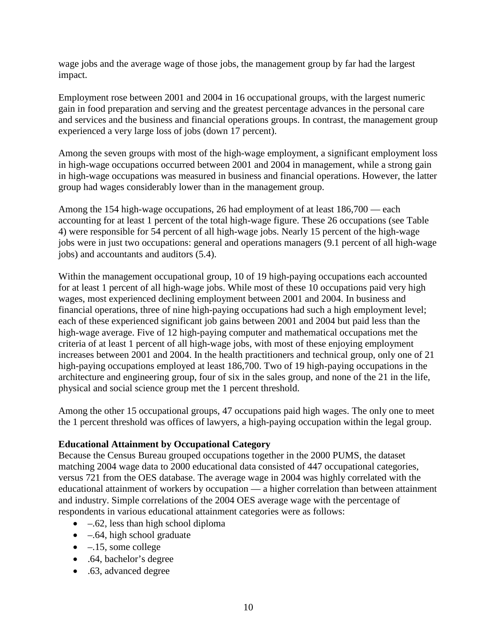wage jobs and the average wage of those jobs, the management group by far had the largest impact.

Employment rose between 2001 and 2004 in 16 occupational groups, with the largest numeric gain in food preparation and serving and the greatest percentage advances in the personal care and services and the business and financial operations groups. In contrast, the management group experienced a very large loss of jobs (down 17 percent).

Among the seven groups with most of the high-wage employment, a significant employment loss in high-wage occupations occurred between 2001 and 2004 in management, while a strong gain in high-wage occupations was measured in business and financial operations. However, the latter group had wages considerably lower than in the management group.

Among the 154 high-wage occupations, 26 had employment of at least 186,700 — each accounting for at least 1 percent of the total high-wage figure. These 26 occupations (see Table 4) were responsible for 54 percent of all high-wage jobs. Nearly 15 percent of the high-wage jobs were in just two occupations: general and operations managers (9.1 percent of all high-wage jobs) and accountants and auditors (5.4).

Within the management occupational group, 10 of 19 high-paying occupations each accounted for at least 1 percent of all high-wage jobs. While most of these 10 occupations paid very high wages, most experienced declining employment between 2001 and 2004. In business and financial operations, three of nine high-paying occupations had such a high employment level; each of these experienced significant job gains between 2001 and 2004 but paid less than the high-wage average. Five of 12 high-paying computer and mathematical occupations met the criteria of at least 1 percent of all high-wage jobs, with most of these enjoying employment increases between 2001 and 2004. In the health practitioners and technical group, only one of 21 high-paying occupations employed at least 186,700. Two of 19 high-paying occupations in the architecture and engineering group, four of six in the sales group, and none of the 21 in the life, physical and social science group met the 1 percent threshold.

Among the other 15 occupational groups, 47 occupations paid high wages. The only one to meet the 1 percent threshold was offices of lawyers, a high-paying occupation within the legal group.

# **Educational Attainment by Occupational Category**

Because the Census Bureau grouped occupations together in the 2000 PUMS, the dataset matching 2004 wage data to 2000 educational data consisted of 447 occupational categories, versus 721 from the OES database. The average wage in 2004 was highly correlated with the educational attainment of workers by occupation — a higher correlation than between attainment and industry. Simple correlations of the 2004 OES average wage with the percentage of respondents in various educational attainment categories were as follows:

- $\bullet$  –.62, less than high school diploma
- $\bullet$  –.64, high school graduate
- $\bullet$  –.15, some college
- .64, bachelor's degree
- .63, advanced degree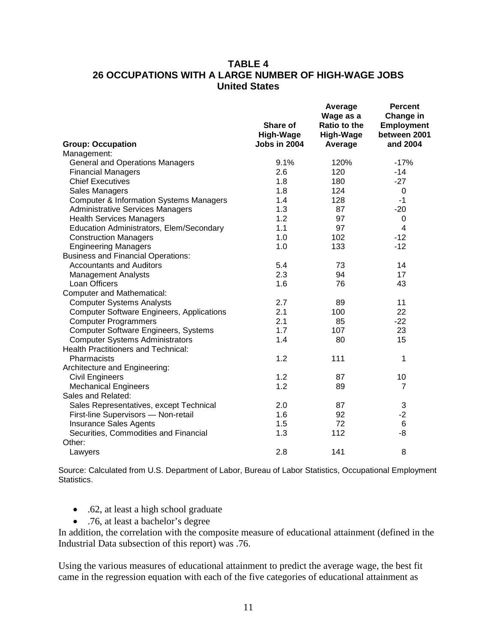# **TABLE 4 26 OCCUPATIONS WITH A LARGE NUMBER OF HIGH-WAGE JOBS United States**

|                                                    | Share of<br>High-Wage | Average<br>Wage as a<br><b>Ratio to the</b><br>High-Wage | <b>Percent</b><br>Change in<br><b>Employment</b><br>between 2001 |
|----------------------------------------------------|-----------------------|----------------------------------------------------------|------------------------------------------------------------------|
| <b>Group: Occupation</b>                           | Jobs in 2004          | Average                                                  | and 2004                                                         |
| Management:                                        |                       |                                                          |                                                                  |
| <b>General and Operations Managers</b>             | 9.1%                  | 120%                                                     | $-17%$                                                           |
| <b>Financial Managers</b>                          | 2.6                   | 120                                                      | $-14$                                                            |
| <b>Chief Executives</b>                            | 1.8                   | 180                                                      | $-27$                                                            |
| Sales Managers                                     | 1.8                   | 124                                                      | 0                                                                |
| <b>Computer &amp; Information Systems Managers</b> | 1.4                   | 128                                                      | $-1$                                                             |
| <b>Administrative Services Managers</b>            | 1.3                   | 87                                                       | $-20$                                                            |
| <b>Health Services Managers</b>                    | 1.2                   | 97                                                       | 0                                                                |
| Education Administrators, Elem/Secondary           | 1.1                   | 97                                                       | 4                                                                |
| <b>Construction Managers</b>                       | 1.0                   | 102                                                      | $-12$                                                            |
| <b>Engineering Managers</b>                        | 1.0                   | 133                                                      | $-12$                                                            |
| <b>Business and Financial Operations:</b>          |                       |                                                          |                                                                  |
| <b>Accountants and Auditors</b>                    | 5.4                   | 73                                                       | 14                                                               |
| <b>Management Analysts</b>                         | 2.3                   | 94                                                       | 17                                                               |
| Loan Officers                                      | 1.6                   | 76                                                       | 43                                                               |
| <b>Computer and Mathematical:</b>                  |                       |                                                          |                                                                  |
| <b>Computer Systems Analysts</b>                   | 2.7                   | 89                                                       | 11                                                               |
| <b>Computer Software Engineers, Applications</b>   | 2.1                   | 100                                                      | 22                                                               |
| <b>Computer Programmers</b>                        | 2.1                   | 85                                                       | $-22$                                                            |
| Computer Software Engineers, Systems               | 1.7                   | 107                                                      | 23                                                               |
| <b>Computer Systems Administrators</b>             | 1.4                   | 80                                                       | 15                                                               |
| <b>Health Practitioners and Technical:</b>         |                       |                                                          |                                                                  |
| Pharmacists                                        | 1.2                   | 111                                                      | 1                                                                |
| Architecture and Engineering:                      |                       |                                                          |                                                                  |
| <b>Civil Engineers</b>                             | 1.2                   | 87                                                       | 10                                                               |
| <b>Mechanical Engineers</b>                        | 1.2                   | 89                                                       | $\overline{7}$                                                   |
| Sales and Related:                                 |                       |                                                          |                                                                  |
| Sales Representatives, except Technical            | 2.0                   | 87                                                       | 3                                                                |
| First-line Supervisors - Non-retail                | 1.6                   | 92                                                       | $-2$                                                             |
| <b>Insurance Sales Agents</b>                      | 1.5                   | 72                                                       | 6                                                                |
| Securities, Commodities and Financial              | 1.3                   | 112                                                      | -8                                                               |
| Other:                                             |                       |                                                          |                                                                  |
| Lawyers                                            | 2.8                   | 141                                                      | 8                                                                |

Source: Calculated from U.S. Department of Labor, Bureau of Labor Statistics, Occupational Employment Statistics.

- .62, at least a high school graduate
- .76, at least a bachelor's degree

In addition, the correlation with the composite measure of educational attainment (defined in the Industrial Data subsection of this report) was .76.

Using the various measures of educational attainment to predict the average wage, the best fit came in the regression equation with each of the five categories of educational attainment as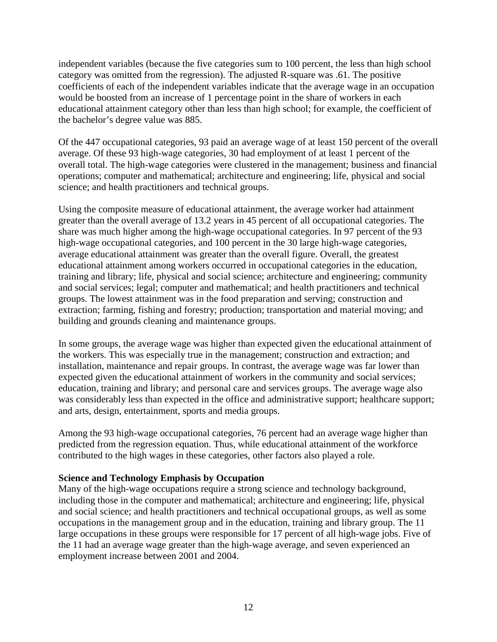independent variables (because the five categories sum to 100 percent, the less than high school category was omitted from the regression). The adjusted R-square was .61. The positive coefficients of each of the independent variables indicate that the average wage in an occupation would be boosted from an increase of 1 percentage point in the share of workers in each educational attainment category other than less than high school; for example, the coefficient of the bachelor's degree value was 885.

Of the 447 occupational categories, 93 paid an average wage of at least 150 percent of the overall average. Of these 93 high-wage categories, 30 had employment of at least 1 percent of the overall total. The high-wage categories were clustered in the management; business and financial operations; computer and mathematical; architecture and engineering; life, physical and social science; and health practitioners and technical groups.

Using the composite measure of educational attainment, the average worker had attainment greater than the overall average of 13.2 years in 45 percent of all occupational categories. The share was much higher among the high-wage occupational categories. In 97 percent of the 93 high-wage occupational categories, and 100 percent in the 30 large high-wage categories, average educational attainment was greater than the overall figure. Overall, the greatest educational attainment among workers occurred in occupational categories in the education, training and library; life, physical and social science; architecture and engineering; community and social services; legal; computer and mathematical; and health practitioners and technical groups. The lowest attainment was in the food preparation and serving; construction and extraction; farming, fishing and forestry; production; transportation and material moving; and building and grounds cleaning and maintenance groups.

In some groups, the average wage was higher than expected given the educational attainment of the workers. This was especially true in the management; construction and extraction; and installation, maintenance and repair groups. In contrast, the average wage was far lower than expected given the educational attainment of workers in the community and social services; education, training and library; and personal care and services groups. The average wage also was considerably less than expected in the office and administrative support; healthcare support; and arts, design, entertainment, sports and media groups.

Among the 93 high-wage occupational categories, 76 percent had an average wage higher than predicted from the regression equation. Thus, while educational attainment of the workforce contributed to the high wages in these categories, other factors also played a role.

#### **Science and Technology Emphasis by Occupation**

Many of the high-wage occupations require a strong science and technology background, including those in the computer and mathematical; architecture and engineering; life, physical and social science; and health practitioners and technical occupational groups, as well as some occupations in the management group and in the education, training and library group. The 11 large occupations in these groups were responsible for 17 percent of all high-wage jobs. Five of the 11 had an average wage greater than the high-wage average, and seven experienced an employment increase between 2001 and 2004.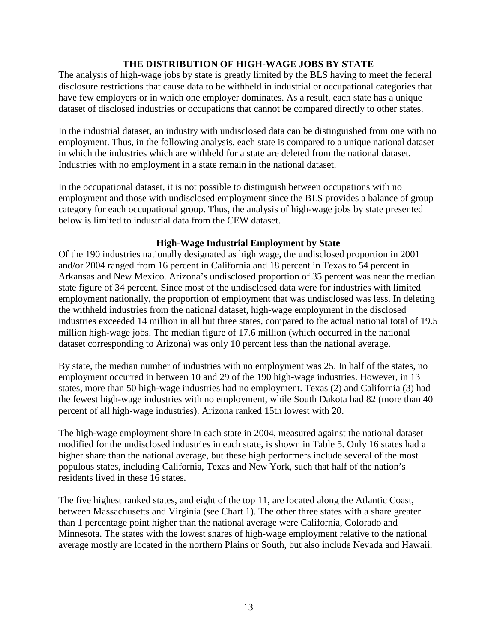### **THE DISTRIBUTION OF HIGH-WAGE JOBS BY STATE**

The analysis of high-wage jobs by state is greatly limited by the BLS having to meet the federal disclosure restrictions that cause data to be withheld in industrial or occupational categories that have few employers or in which one employer dominates. As a result, each state has a unique dataset of disclosed industries or occupations that cannot be compared directly to other states.

In the industrial dataset, an industry with undisclosed data can be distinguished from one with no employment. Thus, in the following analysis, each state is compared to a unique national dataset in which the industries which are withheld for a state are deleted from the national dataset. Industries with no employment in a state remain in the national dataset.

In the occupational dataset, it is not possible to distinguish between occupations with no employment and those with undisclosed employment since the BLS provides a balance of group category for each occupational group. Thus, the analysis of high-wage jobs by state presented below is limited to industrial data from the CEW dataset.

### **High-Wage Industrial Employment by State**

Of the 190 industries nationally designated as high wage, the undisclosed proportion in 2001 and/or 2004 ranged from 16 percent in California and 18 percent in Texas to 54 percent in Arkansas and New Mexico. Arizona's undisclosed proportion of 35 percent was near the median state figure of 34 percent. Since most of the undisclosed data were for industries with limited employment nationally, the proportion of employment that was undisclosed was less. In deleting the withheld industries from the national dataset, high-wage employment in the disclosed industries exceeded 14 million in all but three states, compared to the actual national total of 19.5 million high-wage jobs. The median figure of 17.6 million (which occurred in the national dataset corresponding to Arizona) was only 10 percent less than the national average.

By state, the median number of industries with no employment was 25. In half of the states, no employment occurred in between 10 and 29 of the 190 high-wage industries. However, in 13 states, more than 50 high-wage industries had no employment. Texas (2) and California (3) had the fewest high-wage industries with no employment, while South Dakota had 82 (more than 40 percent of all high-wage industries). Arizona ranked 15th lowest with 20.

The high-wage employment share in each state in 2004, measured against the national dataset modified for the undisclosed industries in each state, is shown in Table 5. Only 16 states had a higher share than the national average, but these high performers include several of the most populous states, including California, Texas and New York, such that half of the nation's residents lived in these 16 states.

The five highest ranked states, and eight of the top 11, are located along the Atlantic Coast, between Massachusetts and Virginia (see Chart 1). The other three states with a share greater than 1 percentage point higher than the national average were California, Colorado and Minnesota. The states with the lowest shares of high-wage employment relative to the national average mostly are located in the northern Plains or South, but also include Nevada and Hawaii.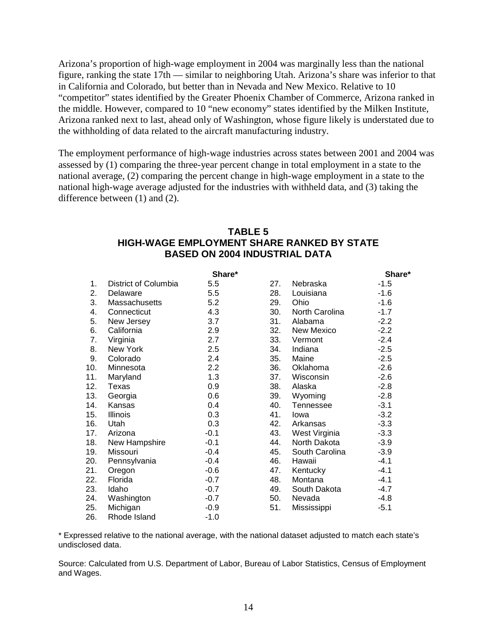Arizona's proportion of high-wage employment in 2004 was marginally less than the national figure, ranking the state 17th — similar to neighboring Utah. Arizona's share was inferior to that in California and Colorado, but better than in Nevada and New Mexico. Relative to 10 "competitor" states identified by the Greater Phoenix Chamber of Commerce, Arizona ranked in the middle. However, compared to 10 "new economy" states identified by the Milken Institute, Arizona ranked next to last, ahead only of Washington, whose figure likely is understated due to the withholding of data related to the aircraft manufacturing industry.

The employment performance of high-wage industries across states between 2001 and 2004 was assessed by (1) comparing the three-year percent change in total employment in a state to the national average, (2) comparing the percent change in high-wage employment in a state to the national high-wage average adjusted for the industries with withheld data, and (3) taking the difference between (1) and (2).

# **TABLE 5 HIGH-WAGE EMPLOYMENT SHARE RANKED BY STATE BASED ON 2004 INDUSTRIAL DATA**

|     |                      | Share* |     |                  | Share* |
|-----|----------------------|--------|-----|------------------|--------|
| 1.  | District of Columbia | 5.5    | 27. | Nebraska         | $-1.5$ |
| 2.  | Delaware             | 5.5    | 28. | Louisiana        | -1.6   |
| 3.  | Massachusetts        | 5.2    | 29. | Ohio             | $-1.6$ |
| 4.  | Connecticut          | 4.3    | 30. | North Carolina   | $-1.7$ |
| 5.  | New Jersey           | 3.7    | 31. | Alabama          | $-2.2$ |
| 6.  | California           | 2.9    | 32. | New Mexico       | $-2.2$ |
| 7.  | Virginia             | 2.7    | 33. | Vermont          | $-2.4$ |
| 8.  | New York             | 2.5    | 34. | Indiana          | $-2.5$ |
| 9.  | Colorado             | 2.4    | 35. | Maine            | $-2.5$ |
| 10. | Minnesota            | 2.2    | 36. | Oklahoma         | $-2.6$ |
| 11. | Maryland             | 1.3    | 37. | Wisconsin        | $-2.6$ |
| 12. | Texas                | 0.9    | 38. | Alaska           | $-2.8$ |
| 13. | Georgia              | 0.6    | 39. | Wyoming          | $-2.8$ |
| 14. | Kansas               | 0.4    | 40. | <b>Tennessee</b> | $-3.1$ |
| 15. | <b>Illinois</b>      | 0.3    | 41. | lowa             | $-3.2$ |
| 16. | Utah                 | 0.3    | 42. | Arkansas         | $-3.3$ |
| 17. | Arizona              | $-0.1$ | 43. | West Virginia    | $-3.3$ |
| 18. | New Hampshire        | $-0.1$ | 44. | North Dakota     | $-3.9$ |
| 19. | Missouri             | $-0.4$ | 45. | South Carolina   | $-3.9$ |
| 20. | Pennsylvania         | $-0.4$ | 46. | Hawaii           | $-4.1$ |
| 21. | Oregon               | $-0.6$ | 47. | Kentucky         | $-4.1$ |
| 22. | Florida              | $-0.7$ | 48. | Montana          | $-4.1$ |
| 23. | Idaho                | $-0.7$ | 49. | South Dakota     | $-4.7$ |
| 24. | Washington           | $-0.7$ | 50. | Nevada           | $-4.8$ |
| 25. | Michigan             | $-0.9$ | 51. | Mississippi      | $-5.1$ |
| 26. | Rhode Island         | $-1.0$ |     |                  |        |

\* Expressed relative to the national average, with the national dataset adjusted to match each state's undisclosed data.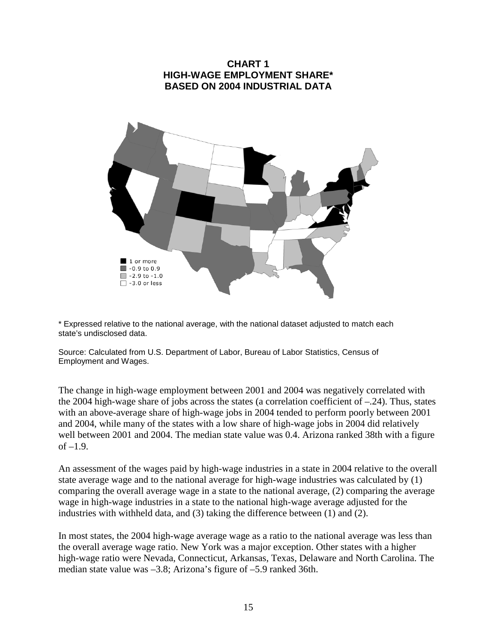

\* Expressed relative to the national average, with the national dataset adjusted to match each state's undisclosed data.

Source: Calculated from U.S. Department of Labor, Bureau of Labor Statistics, Census of Employment and Wages.

The change in high-wage employment between 2001 and 2004 was negatively correlated with the 2004 high-wage share of jobs across the states (a correlation coefficient of –.24). Thus, states with an above-average share of high-wage jobs in 2004 tended to perform poorly between 2001 and 2004, while many of the states with a low share of high-wage jobs in 2004 did relatively well between 2001 and 2004. The median state value was 0.4. Arizona ranked 38th with a figure of  $-1.9$ .

An assessment of the wages paid by high-wage industries in a state in 2004 relative to the overall state average wage and to the national average for high-wage industries was calculated by (1) comparing the overall average wage in a state to the national average, (2) comparing the average wage in high-wage industries in a state to the national high-wage average adjusted for the industries with withheld data, and (3) taking the difference between (1) and (2).

In most states, the 2004 high-wage average wage as a ratio to the national average was less than the overall average wage ratio. New York was a major exception. Other states with a higher high-wage ratio were Nevada, Connecticut, Arkansas, Texas, Delaware and North Carolina. The median state value was –3.8; Arizona's figure of –5.9 ranked 36th.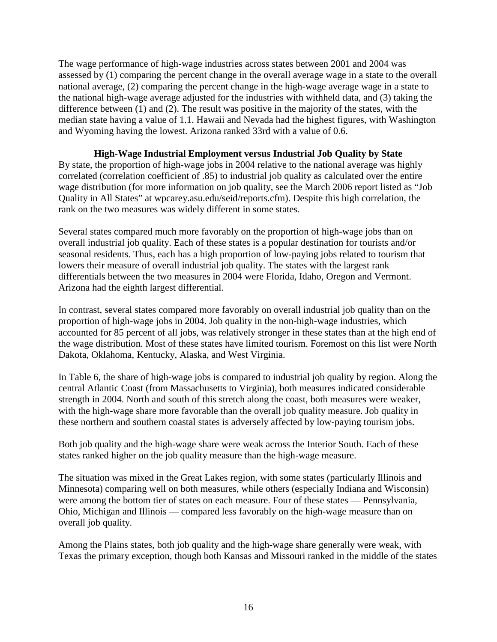The wage performance of high-wage industries across states between 2001 and 2004 was assessed by (1) comparing the percent change in the overall average wage in a state to the overall national average, (2) comparing the percent change in the high-wage average wage in a state to the national high-wage average adjusted for the industries with withheld data, and (3) taking the difference between (1) and (2). The result was positive in the majority of the states, with the median state having a value of 1.1. Hawaii and Nevada had the highest figures, with Washington and Wyoming having the lowest. Arizona ranked 33rd with a value of 0.6.

# **High-Wage Industrial Employment versus Industrial Job Quality by State**

By state, the proportion of high-wage jobs in 2004 relative to the national average was highly correlated (correlation coefficient of .85) to industrial job quality as calculated over the entire wage distribution (for more information on job quality, see the March 2006 report listed as "Job Quality in All States" at wpcarey.asu.edu/seid/reports.cfm). Despite this high correlation, the rank on the two measures was widely different in some states.

Several states compared much more favorably on the proportion of high-wage jobs than on overall industrial job quality. Each of these states is a popular destination for tourists and/or seasonal residents. Thus, each has a high proportion of low-paying jobs related to tourism that lowers their measure of overall industrial job quality. The states with the largest rank differentials between the two measures in 2004 were Florida, Idaho, Oregon and Vermont. Arizona had the eighth largest differential.

In contrast, several states compared more favorably on overall industrial job quality than on the proportion of high-wage jobs in 2004. Job quality in the non-high-wage industries, which accounted for 85 percent of all jobs, was relatively stronger in these states than at the high end of the wage distribution. Most of these states have limited tourism. Foremost on this list were North Dakota, Oklahoma, Kentucky, Alaska, and West Virginia.

In Table 6, the share of high-wage jobs is compared to industrial job quality by region. Along the central Atlantic Coast (from Massachusetts to Virginia), both measures indicated considerable strength in 2004. North and south of this stretch along the coast, both measures were weaker, with the high-wage share more favorable than the overall job quality measure. Job quality in these northern and southern coastal states is adversely affected by low-paying tourism jobs.

Both job quality and the high-wage share were weak across the Interior South. Each of these states ranked higher on the job quality measure than the high-wage measure.

The situation was mixed in the Great Lakes region, with some states (particularly Illinois and Minnesota) comparing well on both measures, while others (especially Indiana and Wisconsin) were among the bottom tier of states on each measure. Four of these states — Pennsylvania, Ohio, Michigan and Illinois — compared less favorably on the high-wage measure than on overall job quality.

Among the Plains states, both job quality and the high-wage share generally were weak, with Texas the primary exception, though both Kansas and Missouri ranked in the middle of the states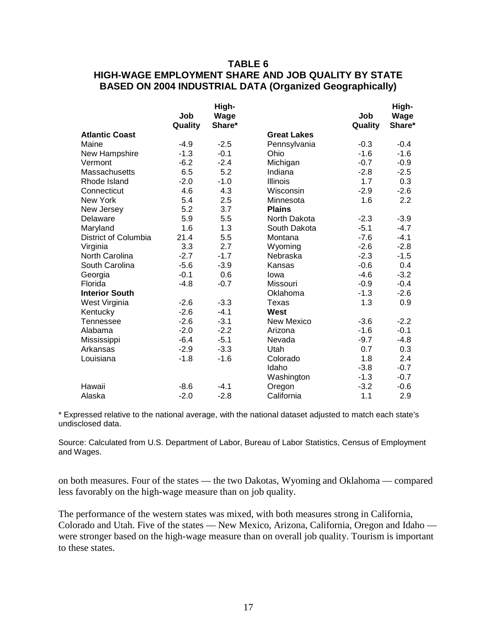# **TABLE 6 HIGH-WAGE EMPLOYMENT SHARE AND JOB QUALITY BY STATE BASED ON 2004 INDUSTRIAL DATA (Organized Geographically)**

|                       |         | High-  |                    |         | High-  |
|-----------------------|---------|--------|--------------------|---------|--------|
|                       | Job     | Wage   |                    | Job     | Wage   |
|                       | Quality | Share* |                    | Quality | Share* |
| <b>Atlantic Coast</b> |         |        | <b>Great Lakes</b> |         |        |
| Maine                 | $-4.9$  | $-2.5$ | Pennsylvania       | $-0.3$  | $-0.4$ |
| New Hampshire         | $-1.3$  | $-0.1$ | Ohio               | $-1.6$  | $-1.6$ |
| Vermont               | $-6.2$  | $-2.4$ | Michigan           | $-0.7$  | $-0.9$ |
| <b>Massachusetts</b>  | 6.5     | 5.2    | Indiana            | $-2.8$  | $-2.5$ |
| Rhode Island          | $-2.0$  | $-1.0$ | Illinois           | 1.7     | 0.3    |
| Connecticut           | 4.6     | 4.3    | Wisconsin          | $-2.9$  | $-2.6$ |
| New York              | 5.4     | 2.5    | Minnesota          | 1.6     | 2.2    |
| New Jersey            | 5.2     | 3.7    | <b>Plains</b>      |         |        |
| Delaware              | 5.9     | 5.5    | North Dakota       | $-2.3$  | $-3.9$ |
| Maryland              | 1.6     | 1.3    | South Dakota       | $-5.1$  | $-4.7$ |
| District of Columbia  | 21.4    | 5.5    | Montana            | $-7.6$  | $-4.1$ |
| Virginia              | 3.3     | 2.7    | Wyoming            | $-2.6$  | $-2.8$ |
| North Carolina        | $-2.7$  | $-1.7$ | Nebraska           | $-2.3$  | $-1.5$ |
| South Carolina        | $-5.6$  | $-3.9$ | Kansas             | $-0.6$  | 0.4    |
| Georgia               | $-0.1$  | 0.6    | lowa               | $-4.6$  | $-3.2$ |
| Florida               | $-4.8$  | $-0.7$ | Missouri           | $-0.9$  | $-0.4$ |
| <b>Interior South</b> |         |        | Oklahoma           | $-1.3$  | $-2.6$ |
| West Virginia         | $-2.6$  | $-3.3$ | Texas              | 1.3     | 0.9    |
| Kentucky              | $-2.6$  | $-4.1$ | West               |         |        |
| Tennessee             | $-2.6$  | $-3.1$ | <b>New Mexico</b>  | $-3.6$  | $-2.2$ |
| Alabama               | $-2.0$  | $-2.2$ | Arizona            | $-1.6$  | $-0.1$ |
| Mississippi           | $-6.4$  | $-5.1$ | Nevada             | $-9.7$  | $-4.8$ |
| Arkansas              | $-2.9$  | $-3.3$ | Utah               | 0.7     | 0.3    |
| Louisiana             | $-1.8$  | $-1.6$ | Colorado           | 1.8     | 2.4    |
|                       |         |        | Idaho              | $-3.8$  | $-0.7$ |
|                       |         |        | Washington         | $-1.3$  | $-0.7$ |
| Hawaii                | $-8.6$  | $-4.1$ | Oregon             | $-3.2$  | $-0.6$ |
| Alaska                | $-2.0$  | $-2.8$ | California         | 1.1     | 2.9    |

\* Expressed relative to the national average, with the national dataset adjusted to match each state's undisclosed data.

Source: Calculated from U.S. Department of Labor, Bureau of Labor Statistics, Census of Employment and Wages.

on both measures. Four of the states — the two Dakotas, Wyoming and Oklahoma — compared less favorably on the high-wage measure than on job quality.

The performance of the western states was mixed, with both measures strong in California, Colorado and Utah. Five of the states — New Mexico, Arizona, California, Oregon and Idaho were stronger based on the high-wage measure than on overall job quality. Tourism is important to these states.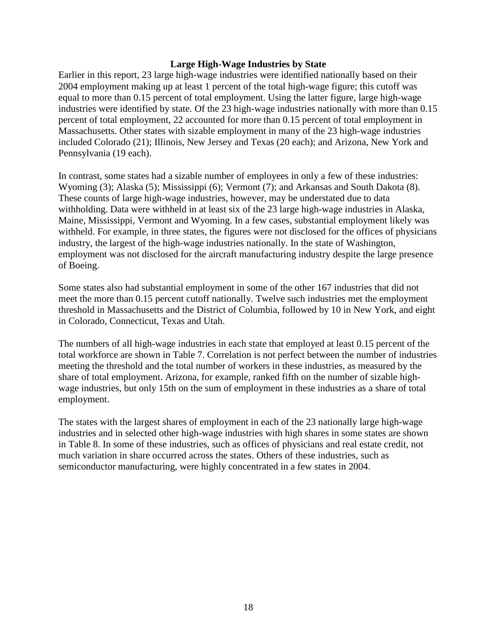#### **Large High-Wage Industries by State**

Earlier in this report, 23 large high-wage industries were identified nationally based on their 2004 employment making up at least 1 percent of the total high-wage figure; this cutoff was equal to more than 0.15 percent of total employment. Using the latter figure, large high-wage industries were identified by state. Of the 23 high-wage industries nationally with more than 0.15 percent of total employment, 22 accounted for more than 0.15 percent of total employment in Massachusetts. Other states with sizable employment in many of the 23 high-wage industries included Colorado (21); Illinois, New Jersey and Texas (20 each); and Arizona, New York and Pennsylvania (19 each).

In contrast, some states had a sizable number of employees in only a few of these industries: Wyoming (3); Alaska (5); Mississippi (6); Vermont (7); and Arkansas and South Dakota (8). These counts of large high-wage industries, however, may be understated due to data withholding. Data were withheld in at least six of the 23 large high-wage industries in Alaska, Maine, Mississippi, Vermont and Wyoming. In a few cases, substantial employment likely was withheld. For example, in three states, the figures were not disclosed for the offices of physicians industry, the largest of the high-wage industries nationally. In the state of Washington, employment was not disclosed for the aircraft manufacturing industry despite the large presence of Boeing.

Some states also had substantial employment in some of the other 167 industries that did not meet the more than 0.15 percent cutoff nationally. Twelve such industries met the employment threshold in Massachusetts and the District of Columbia, followed by 10 in New York, and eight in Colorado, Connecticut, Texas and Utah.

The numbers of all high-wage industries in each state that employed at least 0.15 percent of the total workforce are shown in Table 7. Correlation is not perfect between the number of industries meeting the threshold and the total number of workers in these industries, as measured by the share of total employment. Arizona, for example, ranked fifth on the number of sizable highwage industries, but only 15th on the sum of employment in these industries as a share of total employment.

The states with the largest shares of employment in each of the 23 nationally large high-wage industries and in selected other high-wage industries with high shares in some states are shown in Table 8. In some of these industries, such as offices of physicians and real estate credit, not much variation in share occurred across the states. Others of these industries, such as semiconductor manufacturing, were highly concentrated in a few states in 2004.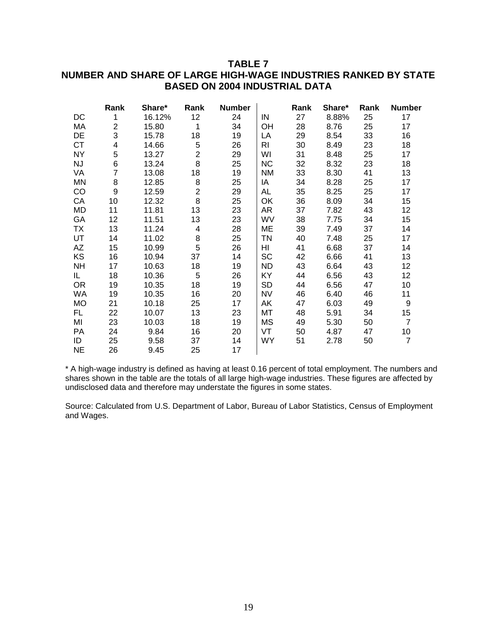# **TABLE 7 NUMBER AND SHARE OF LARGE HIGH-WAGE INDUSTRIES RANKED BY STATE BASED ON 2004 INDUSTRIAL DATA**

|           | Rank | Share* | Rank           | <b>Number</b> |                | Rank | Share* | Rank | <b>Number</b>   |
|-----------|------|--------|----------------|---------------|----------------|------|--------|------|-----------------|
| DC        | 1    | 16.12% | 12             | 24            | IN             | 27   | 8.88%  | 25   | 17              |
| МA        | 2    | 15.80  | 1              | 34            | <b>OH</b>      | 28   | 8.76   | 25   | 17              |
| DE        | 3    | 15.78  | 18             | 19            | LA             | 29   | 8.54   | 33   | 16              |
| <b>CT</b> | 4    | 14.66  | 5              | 26            | R <sub>1</sub> | 30   | 8.49   | 23   | 18              |
| <b>NY</b> | 5    | 13.27  | $\overline{2}$ | 29            | WI             | 31   | 8.48   | 25   | 17              |
| <b>NJ</b> | 6    | 13.24  | 8              | 25            | <b>NC</b>      | 32   | 8.32   | 23   | 18              |
| VA        | 7    | 13.08  | 18             | 19            | <b>NM</b>      | 33   | 8.30   | 41   | 13              |
| MN        | 8    | 12.85  | 8              | 25            | IA             | 34   | 8.28   | 25   | 17              |
| CO        | 9    | 12.59  | $\overline{2}$ | 29            | AL             | 35   | 8.25   | 25   | 17              |
| CA        | 10   | 12.32  | 8              | 25            | OK             | 36   | 8.09   | 34   | 15              |
| MD        | 11   | 11.81  | 13             | 23            | AR             | 37   | 7.82   | 43   | 12 <sub>2</sub> |
| GA        | 12   | 11.51  | 13             | 23            | WV             | 38   | 7.75   | 34   | 15              |
| TX        | 13   | 11.24  | 4              | 28            | ME             | 39   | 7.49   | 37   | 14              |
| UT        | 14   | 11.02  | 8              | 25            | ΤN             | 40   | 7.48   | 25   | 17              |
| AZ        | 15   | 10.99  | 5              | 26            | HI             | 41   | 6.68   | 37   | 14              |
| KS        | 16   | 10.94  | 37             | 14            | <b>SC</b>      | 42   | 6.66   | 41   | 13              |
| <b>NH</b> | 17   | 10.63  | 18             | 19            | <b>ND</b>      | 43   | 6.64   | 43   | 12 <sub>2</sub> |
| IL.       | 18   | 10.36  | 5              | 26            | KY             | 44   | 6.56   | 43   | 12 <sub>2</sub> |
| <b>OR</b> | 19   | 10.35  | 18             | 19            | <b>SD</b>      | 44   | 6.56   | 47   | 10 <sup>°</sup> |
| WA        | 19   | 10.35  | 16             | 20            | <b>NV</b>      | 46   | 6.40   | 46   | 11              |
| <b>MO</b> | 21   | 10.18  | 25             | 17            | AK             | 47   | 6.03   | 49   | 9               |
| FL.       | 22   | 10.07  | 13             | 23            | МT             | 48   | 5.91   | 34   | 15              |
| MI        | 23   | 10.03  | 18             | 19            | ΜS             | 49   | 5.30   | 50   | $\overline{7}$  |
| <b>PA</b> | 24   | 9.84   | 16             | 20            | VT             | 50   | 4.87   | 47   | 10 <sup>°</sup> |
| ID        | 25   | 9.58   | 37             | 14            | WY             | 51   | 2.78   | 50   | $\overline{7}$  |
| <b>NE</b> | 26   | 9.45   | 25             | 17            |                |      |        |      |                 |

\* A high-wage industry is defined as having at least 0.16 percent of total employment. The numbers and shares shown in the table are the totals of all large high-wage industries. These figures are affected by undisclosed data and therefore may understate the figures in some states.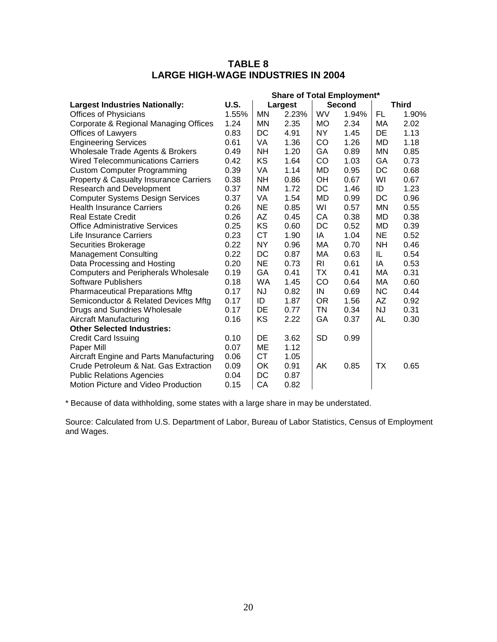# **TABLE 8 LARGE HIGH-WAGE INDUSTRIES IN 2004**

|                                                   | <b>Share of Total Employment*</b> |           |         |           |               |           |              |
|---------------------------------------------------|-----------------------------------|-----------|---------|-----------|---------------|-----------|--------------|
| <b>Largest Industries Nationally:</b>             | U.S.                              |           | Largest |           | <b>Second</b> |           | <b>Third</b> |
| <b>Offices of Physicians</b>                      | 1.55%                             | MN        | 2.23%   | WV        | 1.94%         | FL.       | 1.90%        |
| Corporate & Regional Managing Offices             | 1.24                              | <b>MN</b> | 2.35    | <b>MO</b> | 2.34          | МA        | 2.02         |
| <b>Offices of Lawyers</b>                         | 0.83                              | DC        | 4.91    | NΥ        | 1.45          | DE        | 1.13         |
| <b>Engineering Services</b>                       | 0.61                              | VA        | 1.36    | CO        | 1.26          | <b>MD</b> | 1.18         |
| Wholesale Trade Agents & Brokers                  | 0.49                              | <b>NH</b> | 1.20    | GA        | 0.89          | MN        | 0.85         |
| <b>Wired Telecommunications Carriers</b>          | 0.42                              | KS        | 1.64    | CO        | 1.03          | GA        | 0.73         |
| <b>Custom Computer Programming</b>                | 0.39                              | VA        | 1.14    | MD        | 0.95          | DC        | 0.68         |
| <b>Property &amp; Casualty Insurance Carriers</b> | 0.38                              | <b>NH</b> | 0.86    | OH        | 0.67          | WI        | 0.67         |
| <b>Research and Development</b>                   | 0.37                              | <b>NM</b> | 1.72    | DC        | 1.46          | ID        | 1.23         |
| <b>Computer Systems Design Services</b>           | 0.37                              | <b>VA</b> | 1.54    | MD        | 0.99          | DC        | 0.96         |
| <b>Health Insurance Carriers</b>                  | 0.26                              | <b>NE</b> | 0.85    | WI        | 0.57          | MN        | 0.55         |
| <b>Real Estate Credit</b>                         | 0.26                              | AZ        | 0.45    | СA        | 0.38          | <b>MD</b> | 0.38         |
| <b>Office Administrative Services</b>             | 0.25                              | KS        | 0.60    | DC        | 0.52          | <b>MD</b> | 0.39         |
| Life Insurance Carriers                           | 0.23                              | <b>CT</b> | 1.90    | IA        | 1.04          | <b>NE</b> | 0.52         |
| Securities Brokerage                              | 0.22                              | NY        | 0.96    | МA        | 0.70          | NH        | 0.46         |
| <b>Management Consulting</b>                      | 0.22                              | DC        | 0.87    | МA        | 0.63          | IL        | 0.54         |
| Data Processing and Hosting                       | 0.20                              | <b>NE</b> | 0.73    | RI        | 0.61          | IA        | 0.53         |
| <b>Computers and Peripherals Wholesale</b>        | 0.19                              | GA        | 0.41    | ТX        | 0.41          | МA        | 0.31         |
| <b>Software Publishers</b>                        | 0.18                              | <b>WA</b> | 1.45    | CO        | 0.64          | МA        | 0.60         |
| <b>Pharmaceutical Preparations Mftg</b>           | 0.17                              | <b>NJ</b> | 0.82    | IN        | 0.69          | <b>NC</b> | 0.44         |
| Semiconductor & Related Devices Mftg              | 0.17                              | ID        | 1.87    | 0R        | 1.56          | AZ        | 0.92         |
| Drugs and Sundries Wholesale                      | 0.17                              | DE        | 0.77    | <b>TN</b> | 0.34          | <b>NJ</b> | 0.31         |
| <b>Aircraft Manufacturing</b>                     | 0.16                              | KS        | 2.22    | GA        | 0.37          | AL        | 0.30         |
| <b>Other Selected Industries:</b>                 |                                   |           |         |           |               |           |              |
| <b>Credit Card Issuing</b>                        | 0.10                              | DE        | 3.62    | <b>SD</b> | 0.99          |           |              |
| Paper Mill                                        | 0.07                              | ME        | 1.12    |           |               |           |              |
| Aircraft Engine and Parts Manufacturing           | 0.06                              | СT        | 1.05    |           |               |           |              |
| Crude Petroleum & Nat. Gas Extraction             | 0.09                              | OK        | 0.91    | AK        | 0.85          | ТX        | 0.65         |
| <b>Public Relations Agencies</b>                  | 0.04                              | DC        | 0.87    |           |               |           |              |
| Motion Picture and Video Production               | 0.15                              | CA        | 0.82    |           |               |           |              |

\* Because of data withholding, some states with a large share in may be understated.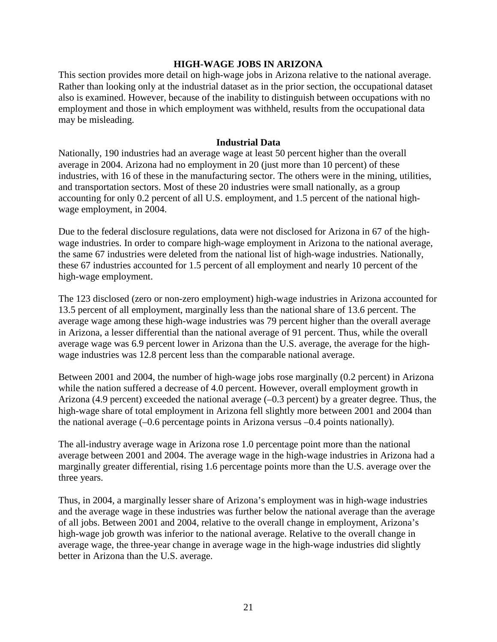### **HIGH-WAGE JOBS IN ARIZONA**

This section provides more detail on high-wage jobs in Arizona relative to the national average. Rather than looking only at the industrial dataset as in the prior section, the occupational dataset also is examined. However, because of the inability to distinguish between occupations with no employment and those in which employment was withheld, results from the occupational data may be misleading.

#### **Industrial Data**

Nationally, 190 industries had an average wage at least 50 percent higher than the overall average in 2004. Arizona had no employment in 20 (just more than 10 percent) of these industries, with 16 of these in the manufacturing sector. The others were in the mining, utilities, and transportation sectors. Most of these 20 industries were small nationally, as a group accounting for only 0.2 percent of all U.S. employment, and 1.5 percent of the national highwage employment, in 2004.

Due to the federal disclosure regulations, data were not disclosed for Arizona in 67 of the highwage industries. In order to compare high-wage employment in Arizona to the national average, the same 67 industries were deleted from the national list of high-wage industries. Nationally, these 67 industries accounted for 1.5 percent of all employment and nearly 10 percent of the high-wage employment.

The 123 disclosed (zero or non-zero employment) high-wage industries in Arizona accounted for 13.5 percent of all employment, marginally less than the national share of 13.6 percent. The average wage among these high-wage industries was 79 percent higher than the overall average in Arizona, a lesser differential than the national average of 91 percent. Thus, while the overall average wage was 6.9 percent lower in Arizona than the U.S. average, the average for the highwage industries was 12.8 percent less than the comparable national average.

Between 2001 and 2004, the number of high-wage jobs rose marginally (0.2 percent) in Arizona while the nation suffered a decrease of 4.0 percent. However, overall employment growth in Arizona (4.9 percent) exceeded the national average (–0.3 percent) by a greater degree. Thus, the high-wage share of total employment in Arizona fell slightly more between 2001 and 2004 than the national average (–0.6 percentage points in Arizona versus –0.4 points nationally).

The all-industry average wage in Arizona rose 1.0 percentage point more than the national average between 2001 and 2004. The average wage in the high-wage industries in Arizona had a marginally greater differential, rising 1.6 percentage points more than the U.S. average over the three years.

Thus, in 2004, a marginally lesser share of Arizona's employment was in high-wage industries and the average wage in these industries was further below the national average than the average of all jobs. Between 2001 and 2004, relative to the overall change in employment, Arizona's high-wage job growth was inferior to the national average. Relative to the overall change in average wage, the three-year change in average wage in the high-wage industries did slightly better in Arizona than the U.S. average.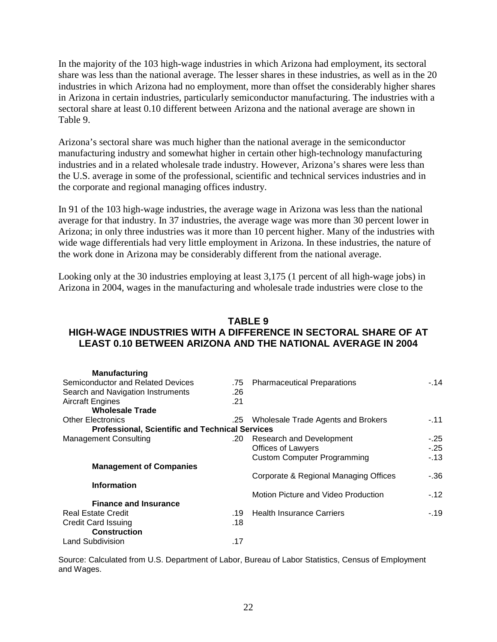In the majority of the 103 high-wage industries in which Arizona had employment, its sectoral share was less than the national average. The lesser shares in these industries, as well as in the 20 industries in which Arizona had no employment, more than offset the considerably higher shares in Arizona in certain industries, particularly semiconductor manufacturing. The industries with a sectoral share at least 0.10 different between Arizona and the national average are shown in Table 9.

Arizona's sectoral share was much higher than the national average in the semiconductor manufacturing industry and somewhat higher in certain other high-technology manufacturing industries and in a related wholesale trade industry. However, Arizona's shares were less than the U.S. average in some of the professional, scientific and technical services industries and in the corporate and regional managing offices industry.

In 91 of the 103 high-wage industries, the average wage in Arizona was less than the national average for that industry. In 37 industries, the average wage was more than 30 percent lower in Arizona; in only three industries was it more than 10 percent higher. Many of the industries with wide wage differentials had very little employment in Arizona. In these industries, the nature of the work done in Arizona may be considerably different from the national average.

Looking only at the 30 industries employing at least 3,175 (1 percent of all high-wage jobs) in Arizona in 2004, wages in the manufacturing and wholesale trade industries were close to the

# **TABLE 9 HIGH-WAGE INDUSTRIES WITH A DIFFERENCE IN SECTORAL SHARE OF AT LEAST 0.10 BETWEEN ARIZONA AND THE NATIONAL AVERAGE IN 2004**

| <b>Manufacturing</b>                                   |     |                                       |        |
|--------------------------------------------------------|-----|---------------------------------------|--------|
| Semiconductor and Related Devices                      | .75 | <b>Pharmaceutical Preparations</b>    | $-.14$ |
| Search and Navigation Instruments                      | .26 |                                       |        |
| <b>Aircraft Engines</b>                                | .21 |                                       |        |
| <b>Wholesale Trade</b>                                 |     |                                       |        |
| <b>Other Electronics</b>                               | .25 | Wholesale Trade Agents and Brokers    | $-.11$ |
| <b>Professional, Scientific and Technical Services</b> |     |                                       |        |
| <b>Management Consulting</b>                           | .20 | Research and Development              | $-25$  |
|                                                        |     | Offices of Lawyers                    | $-25$  |
|                                                        |     | <b>Custom Computer Programming</b>    | $-13$  |
| <b>Management of Companies</b>                         |     |                                       |        |
|                                                        |     | Corporate & Regional Managing Offices | -.36   |
| <b>Information</b>                                     |     |                                       |        |
|                                                        |     | Motion Picture and Video Production   | $-12$  |
| <b>Finance and Insurance</b>                           |     |                                       |        |
| <b>Real Estate Credit</b>                              | .19 | <b>Health Insurance Carriers</b>      | $-19$  |
| <b>Credit Card Issuing</b>                             | .18 |                                       |        |
| <b>Construction</b>                                    |     |                                       |        |
| <b>Land Subdivision</b>                                | .17 |                                       |        |
|                                                        |     |                                       |        |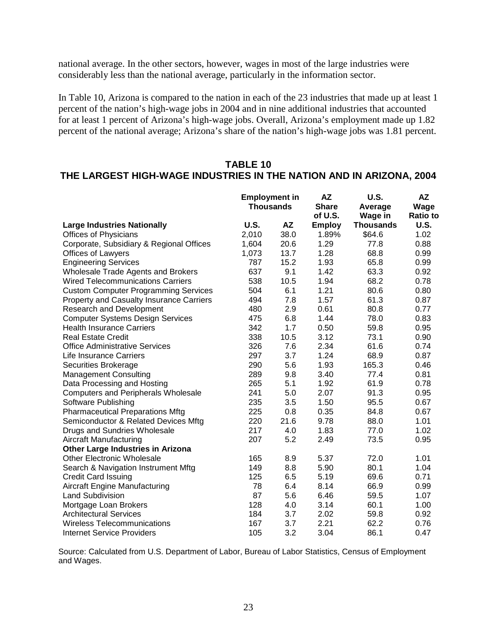national average. In the other sectors, however, wages in most of the large industries were considerably less than the national average, particularly in the information sector.

In Table 10, Arizona is compared to the nation in each of the 23 industries that made up at least 1 percent of the nation's high-wage jobs in 2004 and in nine additional industries that accounted for at least 1 percent of Arizona's high-wage jobs. Overall, Arizona's employment made up 1.82 percent of the national average; Arizona's share of the nation's high-wage jobs was 1.81 percent.

# **TABLE 10**

# **THE LARGEST HIGH-WAGE INDUSTRIES IN THE NATION AND IN ARIZONA, 2004**

|                                                 | <b>Employment in</b><br><b>Thousands</b> |           | <b>AZ</b>     | <b>U.S.</b><br>Average | <b>AZ</b><br>Wage |
|-------------------------------------------------|------------------------------------------|-----------|---------------|------------------------|-------------------|
|                                                 |                                          |           | <b>Share</b>  |                        |                   |
|                                                 |                                          |           | of U.S.       | Wage in                | <b>Ratio to</b>   |
| <b>Large Industries Nationally</b>              | <b>U.S.</b>                              | <b>AZ</b> | <b>Employ</b> | <b>Thousands</b>       | <b>U.S.</b>       |
| <b>Offices of Physicians</b>                    | 2,010                                    | 38.0      | 1.89%         | \$64.6                 | 1.02              |
| Corporate, Subsidiary & Regional Offices        | 1,604                                    | 20.6      | 1.29          | 77.8                   | 0.88              |
| <b>Offices of Lawyers</b>                       | 1,073                                    | 13.7      | 1.28          | 68.8                   | 0.99              |
| <b>Engineering Services</b>                     | 787                                      | 15.2      | 1.93          | 65.8                   | 0.99              |
| <b>Wholesale Trade Agents and Brokers</b>       | 637                                      | 9.1       | 1.42          | 63.3                   | 0.92              |
| <b>Wired Telecommunications Carriers</b>        | 538                                      | 10.5      | 1.94          | 68.2                   | 0.78              |
| <b>Custom Computer Programming Services</b>     | 504                                      | 6.1       | 1.21          | 80.6                   | 0.80              |
| <b>Property and Casualty Insurance Carriers</b> | 494                                      | 7.8       | 1.57          | 61.3                   | 0.87              |
| <b>Research and Development</b>                 | 480                                      | 2.9       | 0.61          | 80.8                   | 0.77              |
| <b>Computer Systems Design Services</b>         | 475                                      | 6.8       | 1.44          | 78.0                   | 0.83              |
| <b>Health Insurance Carriers</b>                | 342                                      | 1.7       | 0.50          | 59.8                   | 0.95              |
| <b>Real Estate Credit</b>                       | 338                                      | 10.5      | 3.12          | 73.1                   | 0.90              |
| <b>Office Administrative Services</b>           | 326                                      | 7.6       | 2.34          | 61.6                   | 0.74              |
| Life Insurance Carriers                         | 297                                      | 3.7       | 1.24          | 68.9                   | 0.87              |
| Securities Brokerage                            | 290                                      | 5.6       | 1.93          | 165.3                  | 0.46              |
| <b>Management Consulting</b>                    | 289                                      | 9.8       | 3.40          | 77.4                   | 0.81              |
| Data Processing and Hosting                     | 265                                      | 5.1       | 1.92          | 61.9                   | 0.78              |
| <b>Computers and Peripherals Wholesale</b>      | 241                                      | 5.0       | 2.07          | 91.3                   | 0.95              |
| Software Publishing                             | 235                                      | 3.5       | 1.50          | 95.5                   | 0.67              |
| <b>Pharmaceutical Preparations Mftg</b>         | 225                                      | 0.8       | 0.35          | 84.8                   | 0.67              |
| Semiconductor & Related Devices Mftg            | 220                                      | 21.6      | 9.78          | 88.0                   | 1.01              |
| Drugs and Sundries Wholesale                    | 217                                      | 4.0       | 1.83          | 77.0                   | 1.02              |
| Aircraft Manufacturing                          | 207                                      | 5.2       | 2.49          | 73.5                   | 0.95              |
| <b>Other Large Industries in Arizona</b>        |                                          |           |               |                        |                   |
| <b>Other Electronic Wholesale</b>               | 165                                      | 8.9       | 5.37          | 72.0                   | 1.01              |
| Search & Navigation Instrument Mftg             | 149                                      | 8.8       | 5.90          | 80.1                   | 1.04              |
| <b>Credit Card Issuing</b>                      | 125                                      | 6.5       | 5.19          | 69.6                   | 0.71              |
| <b>Aircraft Engine Manufacturing</b>            | 78                                       | 6.4       | 8.14          | 66.9                   | 0.99              |
| <b>Land Subdivision</b>                         | 87                                       | 5.6       | 6.46          | 59.5                   | 1.07              |
| Mortgage Loan Brokers                           | 128                                      | 4.0       | 3.14          | 60.1                   | 1.00              |
| <b>Architectural Services</b>                   | 184                                      | 3.7       | 2.02          | 59.8                   | 0.92              |
| <b>Wireless Telecommunications</b>              | 167                                      | 3.7       | 2.21          | 62.2                   | 0.76              |
| <b>Internet Service Providers</b>               | 105                                      | 3.2       | 3.04          | 86.1                   | 0.47              |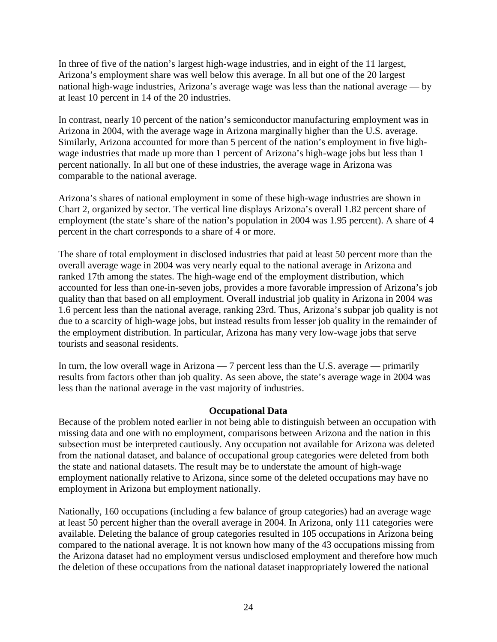In three of five of the nation's largest high-wage industries, and in eight of the 11 largest, Arizona's employment share was well below this average. In all but one of the 20 largest national high-wage industries, Arizona's average wage was less than the national average — by at least 10 percent in 14 of the 20 industries.

In contrast, nearly 10 percent of the nation's semiconductor manufacturing employment was in Arizona in 2004, with the average wage in Arizona marginally higher than the U.S. average. Similarly, Arizona accounted for more than 5 percent of the nation's employment in five highwage industries that made up more than 1 percent of Arizona's high-wage jobs but less than 1 percent nationally. In all but one of these industries, the average wage in Arizona was comparable to the national average.

Arizona's shares of national employment in some of these high-wage industries are shown in Chart 2, organized by sector. The vertical line displays Arizona's overall 1.82 percent share of employment (the state's share of the nation's population in 2004 was 1.95 percent). A share of 4 percent in the chart corresponds to a share of 4 or more.

The share of total employment in disclosed industries that paid at least 50 percent more than the overall average wage in 2004 was very nearly equal to the national average in Arizona and ranked 17th among the states. The high-wage end of the employment distribution, which accounted for less than one-in-seven jobs, provides a more favorable impression of Arizona's job quality than that based on all employment. Overall industrial job quality in Arizona in 2004 was 1.6 percent less than the national average, ranking 23rd. Thus, Arizona's subpar job quality is not due to a scarcity of high-wage jobs, but instead results from lesser job quality in the remainder of the employment distribution. In particular, Arizona has many very low-wage jobs that serve tourists and seasonal residents.

In turn, the low overall wage in Arizona — 7 percent less than the U.S. average — primarily results from factors other than job quality. As seen above, the state's average wage in 2004 was less than the national average in the vast majority of industries.

#### **Occupational Data**

Because of the problem noted earlier in not being able to distinguish between an occupation with missing data and one with no employment, comparisons between Arizona and the nation in this subsection must be interpreted cautiously. Any occupation not available for Arizona was deleted from the national dataset, and balance of occupational group categories were deleted from both the state and national datasets. The result may be to understate the amount of high-wage employment nationally relative to Arizona, since some of the deleted occupations may have no employment in Arizona but employment nationally.

Nationally, 160 occupations (including a few balance of group categories) had an average wage at least 50 percent higher than the overall average in 2004. In Arizona, only 111 categories were available. Deleting the balance of group categories resulted in 105 occupations in Arizona being compared to the national average. It is not known how many of the 43 occupations missing from the Arizona dataset had no employment versus undisclosed employment and therefore how much the deletion of these occupations from the national dataset inappropriately lowered the national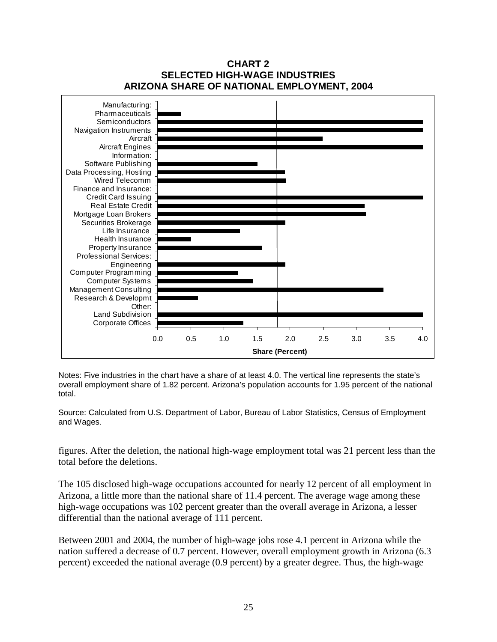

### **CHART 2 SELECTED HIGH-WAGE INDUSTRIES ARIZONA SHARE OF NATIONAL EMPLOYMENT, 2004**

Notes: Five industries in the chart have a share of at least 4.0. The vertical line represents the state's overall employment share of 1.82 percent. Arizona's population accounts for 1.95 percent of the national total.

Source: Calculated from U.S. Department of Labor, Bureau of Labor Statistics, Census of Employment and Wages.

figures. After the deletion, the national high-wage employment total was 21 percent less than the total before the deletions.

The 105 disclosed high-wage occupations accounted for nearly 12 percent of all employment in Arizona, a little more than the national share of 11.4 percent. The average wage among these high-wage occupations was 102 percent greater than the overall average in Arizona, a lesser differential than the national average of 111 percent.

Between 2001 and 2004, the number of high-wage jobs rose 4.1 percent in Arizona while the nation suffered a decrease of 0.7 percent. However, overall employment growth in Arizona (6.3 percent) exceeded the national average (0.9 percent) by a greater degree. Thus, the high-wage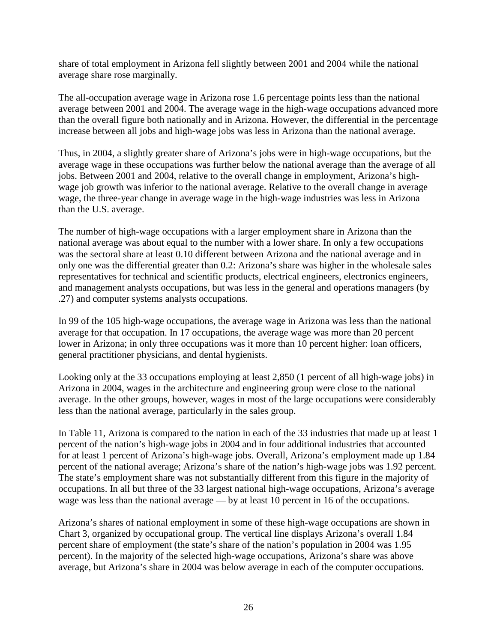share of total employment in Arizona fell slightly between 2001 and 2004 while the national average share rose marginally.

The all-occupation average wage in Arizona rose 1.6 percentage points less than the national average between 2001 and 2004. The average wage in the high-wage occupations advanced more than the overall figure both nationally and in Arizona. However, the differential in the percentage increase between all jobs and high-wage jobs was less in Arizona than the national average.

Thus, in 2004, a slightly greater share of Arizona's jobs were in high-wage occupations, but the average wage in these occupations was further below the national average than the average of all jobs. Between 2001 and 2004, relative to the overall change in employment, Arizona's highwage job growth was inferior to the national average. Relative to the overall change in average wage, the three-year change in average wage in the high-wage industries was less in Arizona than the U.S. average.

The number of high-wage occupations with a larger employment share in Arizona than the national average was about equal to the number with a lower share. In only a few occupations was the sectoral share at least 0.10 different between Arizona and the national average and in only one was the differential greater than 0.2: Arizona's share was higher in the wholesale sales representatives for technical and scientific products, electrical engineers, electronics engineers, and management analysts occupations, but was less in the general and operations managers (by .27) and computer systems analysts occupations.

In 99 of the 105 high-wage occupations, the average wage in Arizona was less than the national average for that occupation. In 17 occupations, the average wage was more than 20 percent lower in Arizona; in only three occupations was it more than 10 percent higher: loan officers, general practitioner physicians, and dental hygienists.

Looking only at the 33 occupations employing at least 2,850 (1 percent of all high-wage jobs) in Arizona in 2004, wages in the architecture and engineering group were close to the national average. In the other groups, however, wages in most of the large occupations were considerably less than the national average, particularly in the sales group.

In Table 11, Arizona is compared to the nation in each of the 33 industries that made up at least 1 percent of the nation's high-wage jobs in 2004 and in four additional industries that accounted for at least 1 percent of Arizona's high-wage jobs. Overall, Arizona's employment made up 1.84 percent of the national average; Arizona's share of the nation's high-wage jobs was 1.92 percent. The state's employment share was not substantially different from this figure in the majority of occupations. In all but three of the 33 largest national high-wage occupations, Arizona's average wage was less than the national average — by at least 10 percent in 16 of the occupations.

Arizona's shares of national employment in some of these high-wage occupations are shown in Chart 3, organized by occupational group. The vertical line displays Arizona's overall 1.84 percent share of employment (the state's share of the nation's population in 2004 was 1.95 percent). In the majority of the selected high-wage occupations, Arizona's share was above average, but Arizona's share in 2004 was below average in each of the computer occupations.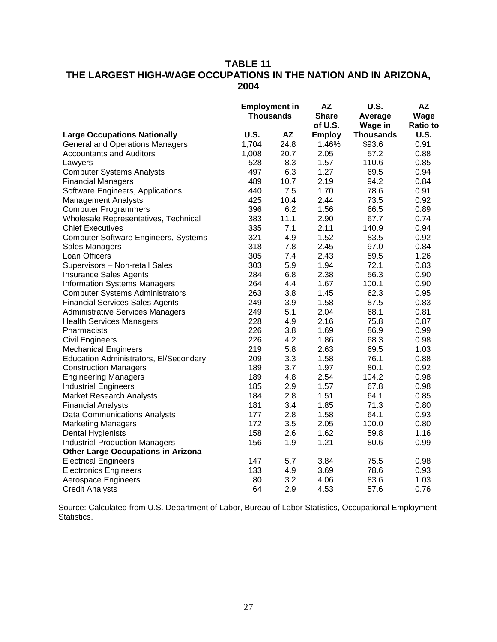# **TABLE 11 THE LARGEST HIGH-WAGE OCCUPATIONS IN THE NATION AND IN ARIZONA, 2004**

|                                             | <b>Employment in</b><br><b>Thousands</b> |           | <b>AZ</b><br><b>Share</b> | <b>U.S.</b><br>Average | AZ<br>Wage      |
|---------------------------------------------|------------------------------------------|-----------|---------------------------|------------------------|-----------------|
|                                             |                                          |           |                           |                        |                 |
|                                             |                                          |           | of U.S.                   | Wage in                | <b>Ratio to</b> |
| <b>Large Occupations Nationally</b>         | <b>U.S.</b>                              | <b>AZ</b> | <b>Employ</b>             | <b>Thousands</b>       | U.S.            |
| <b>General and Operations Managers</b>      | 1,704                                    | 24.8      | 1.46%                     | \$93.6                 | 0.91            |
| <b>Accountants and Auditors</b>             | 1,008                                    | 20.7      | 2.05                      | 57.2                   | 0.88            |
| Lawyers                                     | 528                                      | 8.3       | 1.57                      | 110.6                  | 0.85            |
| <b>Computer Systems Analysts</b>            | 497                                      | 6.3       | 1.27                      | 69.5                   | 0.94            |
| <b>Financial Managers</b>                   | 489                                      | 10.7      | 2.19                      | 94.2                   | 0.84            |
| Software Engineers, Applications            | 440                                      | 7.5       | 1.70                      | 78.6                   | 0.91            |
| <b>Management Analysts</b>                  | 425                                      | 10.4      | 2.44                      | 73.5                   | 0.92            |
| <b>Computer Programmers</b>                 | 396                                      | 6.2       | 1.56                      | 66.5                   | 0.89            |
| Wholesale Representatives, Technical        | 383                                      | 11.1      | 2.90                      | 67.7                   | 0.74            |
| <b>Chief Executives</b>                     | 335                                      | 7.1       | 2.11                      | 140.9                  | 0.94            |
| <b>Computer Software Engineers, Systems</b> | 321                                      | 4.9       | 1.52                      | 83.5                   | 0.92            |
| Sales Managers                              | 318                                      | 7.8       | 2.45                      | 97.0                   | 0.84            |
| Loan Officers                               | 305                                      | 7.4       | 2.43                      | 59.5                   | 1.26            |
| Supervisors - Non-retail Sales              | 303                                      | 5.9       | 1.94                      | 72.1                   | 0.83            |
| <b>Insurance Sales Agents</b>               | 284                                      | 6.8       | 2.38                      | 56.3                   | 0.90            |
| <b>Information Systems Managers</b>         | 264                                      | 4.4       | 1.67                      | 100.1                  | 0.90            |
| <b>Computer Systems Administrators</b>      | 263                                      | 3.8       | 1.45                      | 62.3                   | 0.95            |
| <b>Financial Services Sales Agents</b>      | 249                                      | 3.9       | 1.58                      | 87.5                   | 0.83            |
| <b>Administrative Services Managers</b>     | 249                                      | 5.1       | 2.04                      | 68.1                   | 0.81            |
| <b>Health Services Managers</b>             | 228                                      | 4.9       | 2.16                      | 75.8                   | 0.87            |
| Pharmacists                                 | 226                                      | 3.8       | 1.69                      | 86.9                   | 0.99            |
| <b>Civil Engineers</b>                      | 226                                      | 4.2       | 1.86                      | 68.3                   | 0.98            |
| <b>Mechanical Engineers</b>                 | 219                                      | 5.8       | 2.63                      | 69.5                   | 1.03            |
| Education Administrators, El/Secondary      | 209                                      | 3.3       | 1.58                      | 76.1                   | 0.88            |
| <b>Construction Managers</b>                | 189                                      | 3.7       | 1.97                      | 80.1                   | 0.92            |
| <b>Engineering Managers</b>                 | 189                                      | 4.8       | 2.54                      | 104.2                  | 0.98            |
| <b>Industrial Engineers</b>                 | 185                                      | 2.9       | 1.57                      | 67.8                   | 0.98            |
| <b>Market Research Analysts</b>             | 184                                      | 2.8       | 1.51                      | 64.1                   | 0.85            |
| <b>Financial Analysts</b>                   | 181                                      | 3.4       | 1.85                      | 71.3                   | 0.80            |
| Data Communications Analysts                | 177                                      | 2.8       | 1.58                      | 64.1                   | 0.93            |
| <b>Marketing Managers</b>                   | 172                                      | 3.5       | 2.05                      | 100.0                  | 0.80            |
| Dental Hygienists                           | 158                                      | 2.6       | 1.62                      | 59.8                   | 1.16            |
| <b>Industrial Production Managers</b>       | 156                                      | 1.9       | 1.21                      | 80.6                   | 0.99            |
| <b>Other Large Occupations in Arizona</b>   |                                          |           |                           |                        |                 |
| <b>Electrical Engineers</b>                 | 147                                      | 5.7       | 3.84                      | 75.5                   | 0.98            |
| <b>Electronics Engineers</b>                | 133                                      | 4.9       | 3.69                      | 78.6                   | 0.93            |
| Aerospace Engineers                         | 80                                       | 3.2       | 4.06                      | 83.6                   | 1.03            |
| <b>Credit Analysts</b>                      | 64                                       | 2.9       | 4.53                      | 57.6                   | 0.76            |

Source: Calculated from U.S. Department of Labor, Bureau of Labor Statistics, Occupational Employment Statistics.